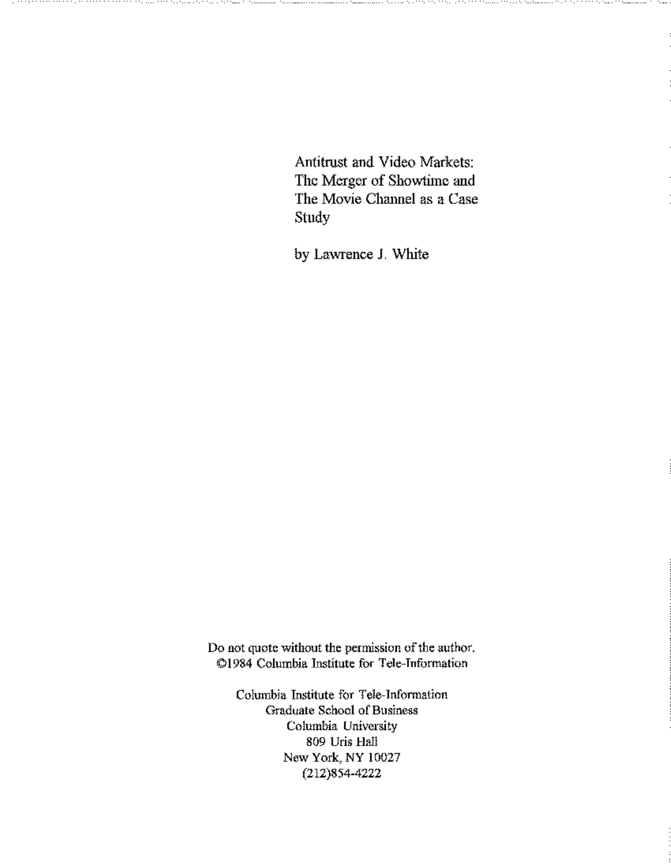Antitrust and Video Markets: The Merger of Showtime and The Movie Channel as a Case Study

by Lawrence J. White

Do not quote without the permission of the author. ©1984 Columbia lnstitute for Tele-Tnformation

> Columbia Institute for Tele-Information Graduate School of Business Columbia University 809 Uris Hall New York, NY 10027 (212)854-4222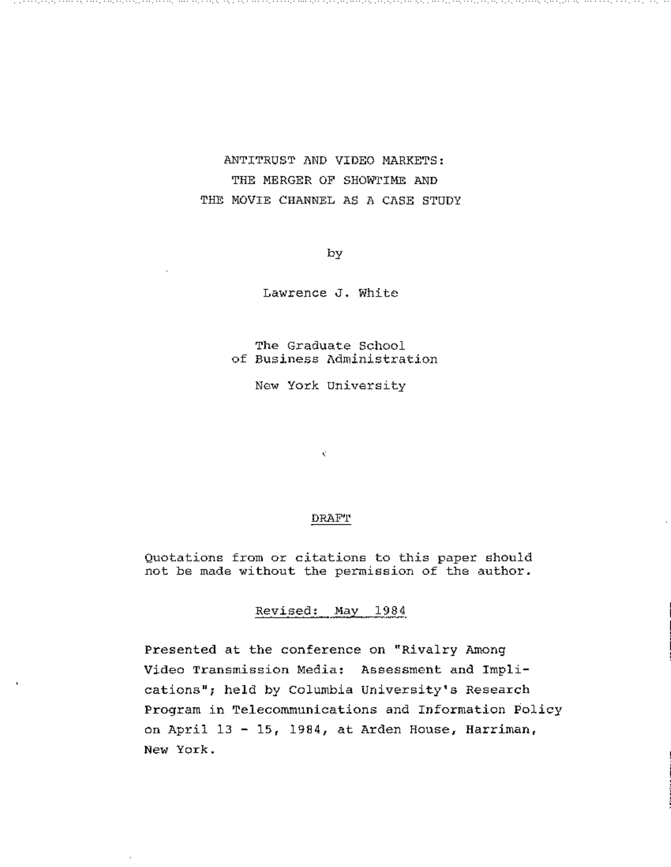ANTITRUST AND VIDEO MARKETS: THE MERGER OF SHOWTIME AND THE MOVIE CHANNEL AS A CASE STUDY

interest to the transition that the second the third of the second that the second control of the theory of the three

by

Lawrence J. White

The Graduate School of Business Administration

Now York university

¢

# DRAF'l'

Quotations from or citations to this paper should not be made without the permission of the author.

Revised: May 1984

Presented at the conference on "Rivalry Among Video Transmission Media: Assessment and Implications"; held by Columbia University's Research Program in Telecommunications and Information Policy on April 13 - 15, 1984, at Arden House, Harriman, New York.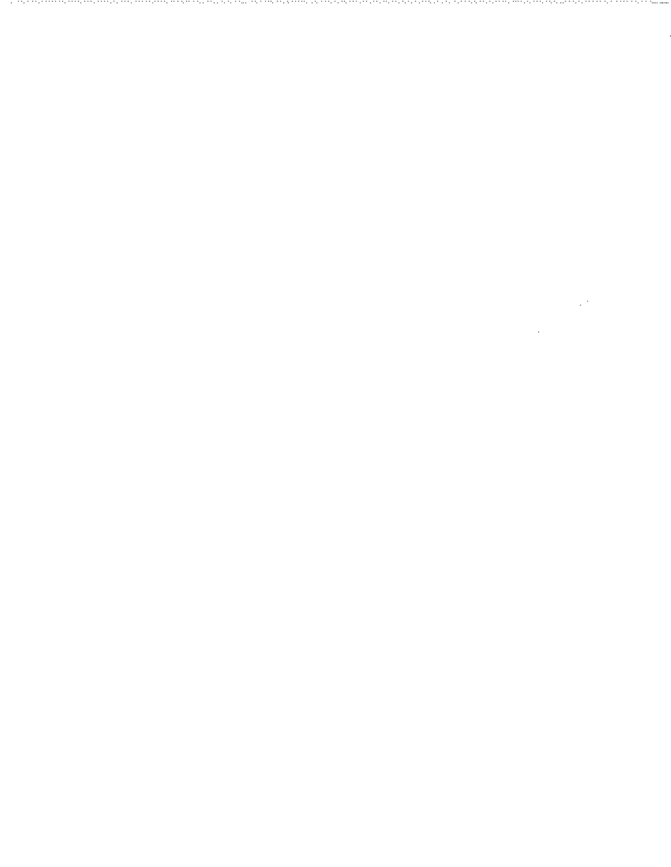a and negative the theory of the theory of the the season of the second theory and the angle of the theory of n ann talan an a-nan n-taltan an an chomainn na t-an t-an t-aan n-t-an a-n-n-t-a-n-n-n-n-n-n-n-n-t-

 $\label{eq:2} \mathcal{L}_{\text{max}} = \mathcal{L}_{\text{max}} \left( \mathcal{L}_{\text{max}} \right)$  $\mathcal{L}^{\text{max}}_{\text{max}}$  , where  $\mathcal{L}^{\text{max}}_{\text{max}}$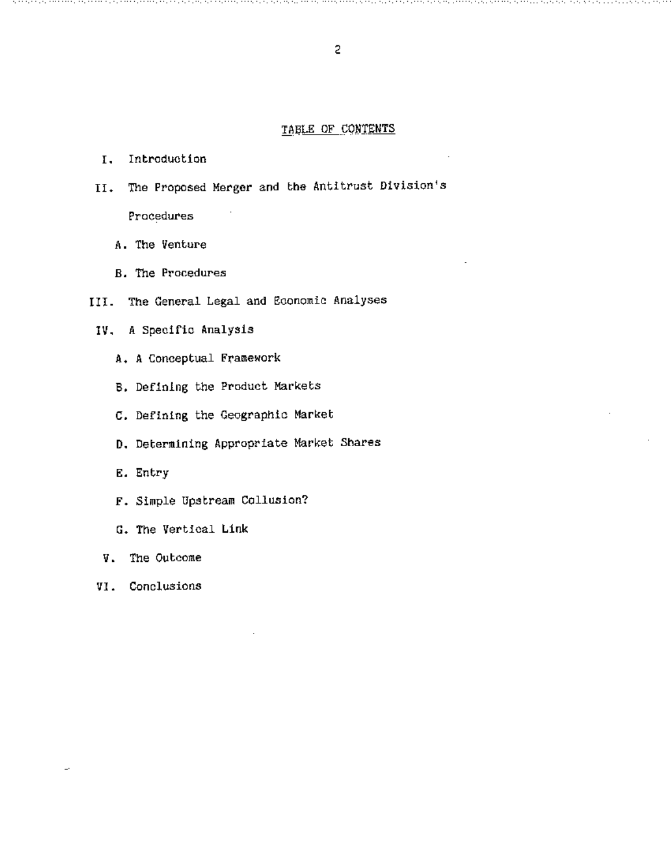# TABLE OF CONTENTS

I. Introduction

计数据 化对称分析 医手足 计分布式 计分布式 计分类 计分析 计分析 医心包 计分析 化十二烷基 化对称 医对称 医水平 医

- II. The Proposed Merger and the Antitrust Division's Procedures
	- A. The Venture
	- B. The Procedures
- III. The General Legal and Economic Analyses
- **IV.** A Specific Analysis
	- A. A Conceptual Framework
	- B, Definlng the Product Markets
	- C, Defining the Geographic Market
	- **D.** Determining Appropriate Market Shares
	- E. Entry
	- F. Simple Upstream Collusion?
	- G. The Vertical **Link**
	- V. The Outcome
- VI. Conclusions

ra matra na mpinda mbina na hana na mpindimbena na mpinda na maana ma mata na mpindimbena na na mpindimbena mp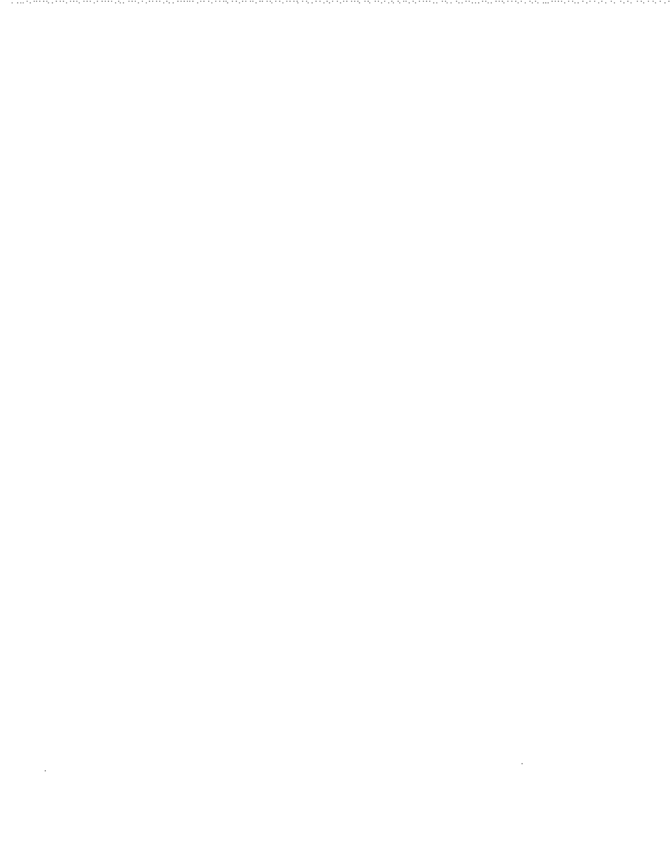a dan mengembung mengembung memampung mengengan pada pada mengengan pengemaan dan dan pengengan dan dalam peng a kacamatan di sebelum dan dikenal

 $\mathcal{A}^{\text{max}}_{\text{max}}$ 

 $\mathcal{L}^{\text{max}}_{\text{max}}$  , where  $\mathcal{L}^{\text{max}}_{\text{max}}$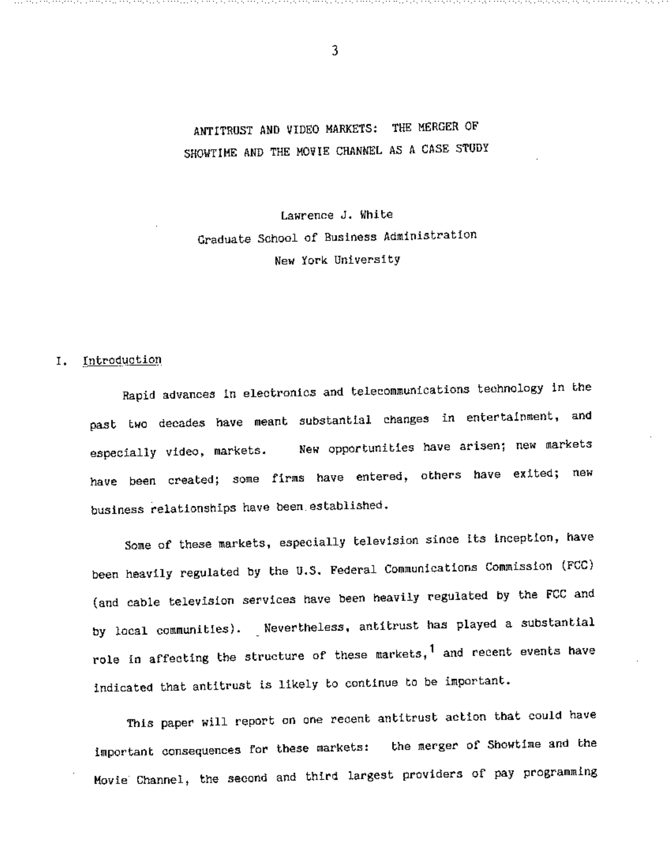ANTITRUST AND VIDEO MARKETS: THE MERGER OF SHOWTIME AND THE MOVIE CHANNEL AS A CASE STUDY

Lawrence J. White Graduate School of Business Administration New York University

# I. Introduction

Rapid advances in electronics and telecommunications technology in the past two decades have meant substantial changes in entertainment, and especially video, markets. New opportunities have arisen; new markets have been created; some firms have entered, others have exited; new business relationships have been established.

Some of these markets, especially television since its inception, have been heavily regulated by the U.S. Federal Communications Commission (FCC) (and cable television services have been heavily regulated by the FCC and by local communities). Nevertheless, antitrust has played a substantial role in affecting the structure of these markets,<sup>1</sup> and recent events have indicated that antitrust is likely to continue to be important.

This paper will report on one recent antitrust action that could have important consequences for these markets: the merger of Showtime and the Movie Channel, the second and third largest providers af pay programming

3

a nona taona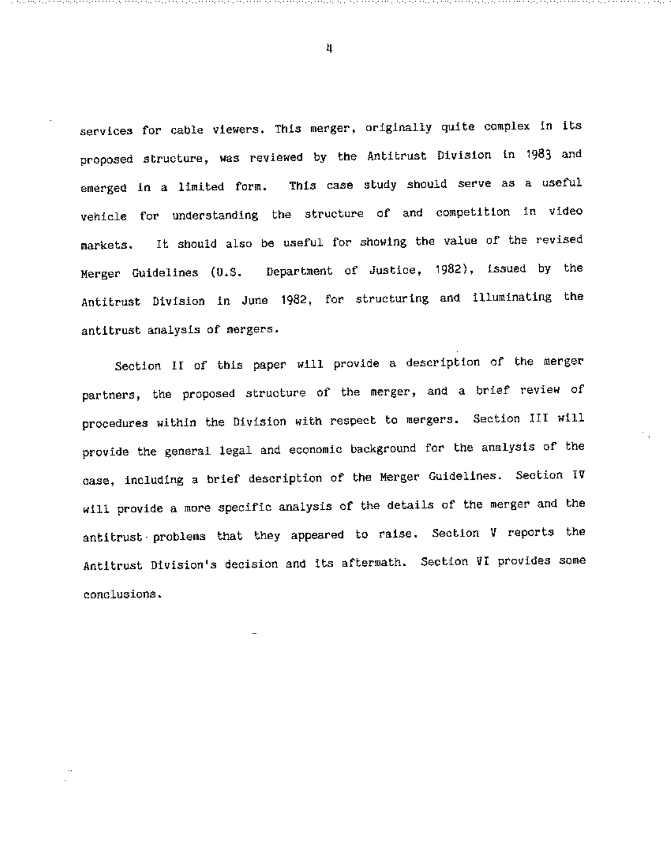services for cable viewer5, This merger, originally quite complex in its proposed structure, was reviewed by the Antitrust Division ln 1983 and emerged **in** a limited form. **This** case study should serve as a useful vehicle for understanding the structure of and competition in video markets. It should also be useful for showing the value of the revised Merger Guidelines (U.S. Department of Justice, 1982), issued by the Antitrust Division in June 1982, for structuring and illuminating the antitrust analysis of mergers.

Section II of this paper will provide a description of the merger partners, the proposed structure of the merger, and a brief review of procedures within the Division with respect to mergers. Section III will provide the general legal and economic background for the analysis of the case, including a brief description of the Merger Guidelines. Section IV will provide a more specific analysis of the details of the merger and the antitrust- problems that they appeared to raise. Section **V** reports the Antitrust Division's decision and its aftermath. Section **VI** provides some conclusions.

4

nga ang ng pang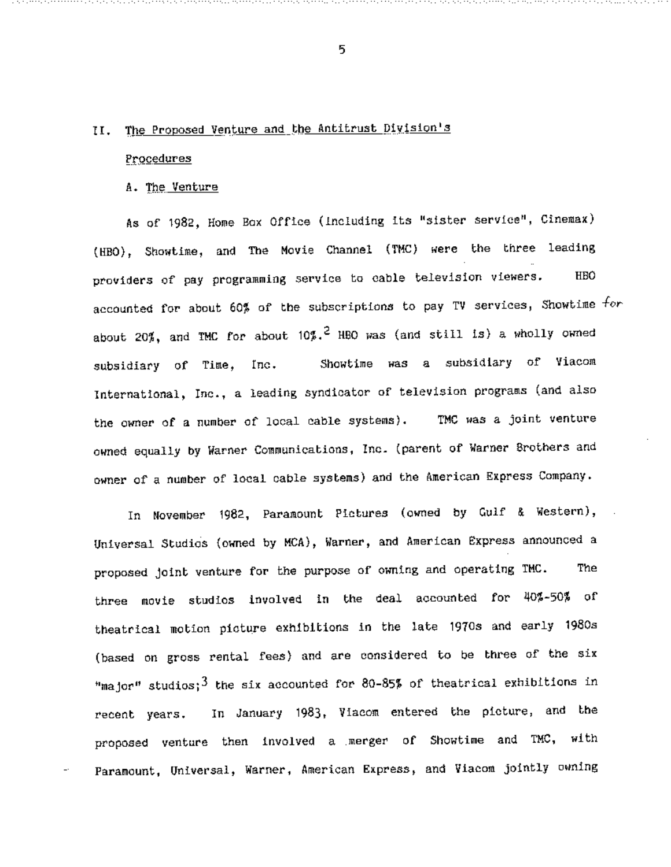# II. The Proposed Venture and the Antitrust Division's

# Procedures

# A. The Venture

As of 1982, Home Bax Office (including its "sister service", Cinemax) (HBO), Showtime, and The Movie Channel (TMC) were the three leading providers of pay programming service to cable television viewers. HBO accounted for about 60% of the subscriptions to pay TV services, Showtime  $for$ about 20%, and TMC for about  $10\%$ .<sup>2</sup> HBO was (and still is) a wholly owned subsidiary of Time, Inc. Showtime was a subsidiary of Viacom International, Inc., a leading syndicator of television programs (and also the owner of a number of local cable systems). TMC was a joint venture owned equally by Warner Communications, Inc. (parent of Warner Brothers and owner of a number of local cable systems) and the American Express Company.

In November 1982, Paramount Pictures (owned by Gulf & Western), Universal Studios (owned by MCA), Warner, and American Express announced a proposed joint venture for the purpose of owning and operating TMC. The three movie studios involved in the deal aocounted for 40%-50% of theatrical motion picture exhibitions in the late 1970s and early 1980s (based on gross rental fees) and are considered to be three of the six "major" studios;  $3$  the six accounted for 80-85% of theatrical exhibitions in recent years. In January 1983, Viacom entered the picture, and the proposed venture then involved a merger of Showtime and TMC, with Paramount, Universal, Warner, American Express, and Viacom jointly owning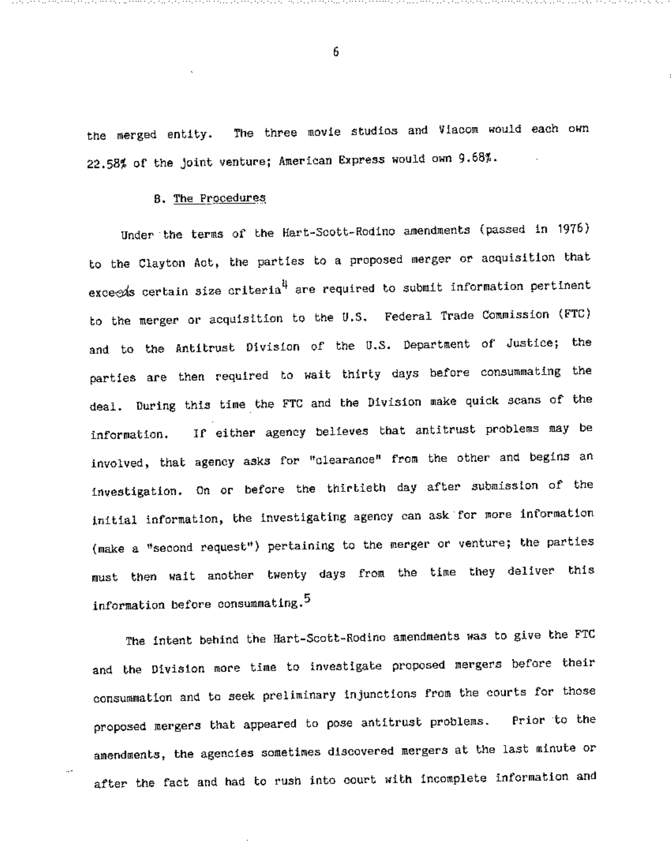the merged entity. The three movie studios and Viacom would each own 22.58% of the joint venture; American Express would own 9.68%.

# B. The Prgcedures.

Under the terms of the Hart-Scott-Rodino amendments (passed in 1976) to the Clayton Act, the parties to a proposed merger or acquisition that exce $\mathcal{A}$ s certain size criteria  $^4$  are required to submit information pertinent to the merger or acquisition to the U.S. Federal Trade Commission (FTC) and to the Antitrust Division of the U.S. Department of Justice; the parties are then. required to wait thirty days before consummating the deal. During this time the FTC and the Division make quick scans of the information. If either agency believes that antitrust problems may be involved, that agency asks for "clearance" from the other and begins an investigation. On or before the thirtieth day after submission of the initial information, the investigating agency can ask for more information (make a "second request"} pertaining to the merger or venture; the parties must then wait another twenty days from the time they deliver this information before consummating.5

The intent behind the Hart-Scott-Rodino amendments was to give the FTC and the Division more time to investigate proposed mergers before their consummation and to seek preliminary injuncticns from the courts for those proposed mergers that appeared to pose antitrust problems. Prior to the amendments, the agencies sometimes discovered mergers at the last minute or after the fact and had to rush into ocurt with incomplete information and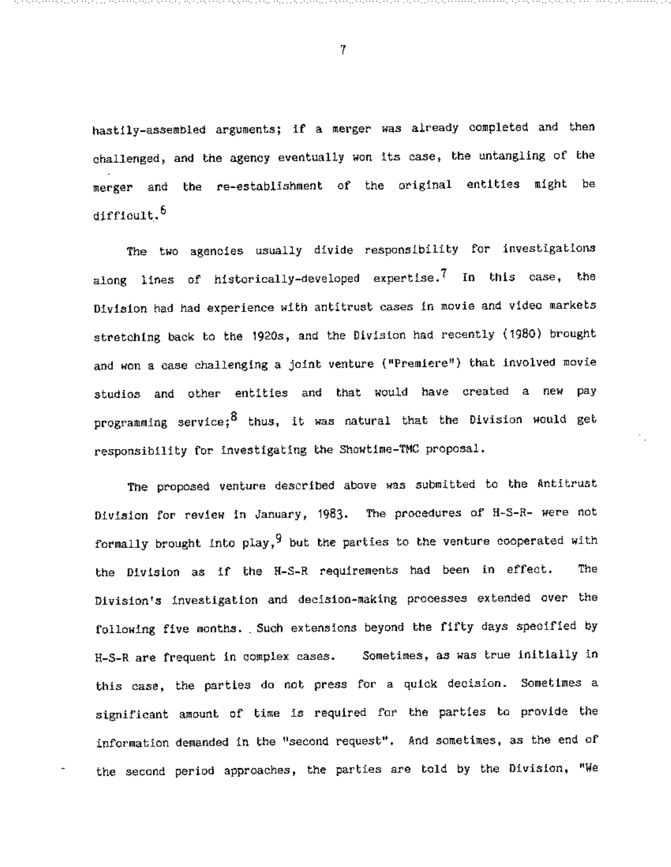hastily-assembled arguments; if a merger was already completed and then challenged, and the agency eventually won its case, the untangling of the merger and the re-establishment of the original entities might be difficult.<sup>6</sup>

The two agencies usually divide responsibility for investigations along lines of historically-developed expertise.<sup>7</sup> In this case, the Division had had experience with antitrust cases in movie and video markets stretching back to the 1920s, and the Division had recently (1980) brought and won a case challenging a joint venture ("Premiere") that involved movie studios and other entities and that would have created a new pay programming service;  $8$  thus, it was natural that the Division would get responsibility for investigating the Showtime-TMC proposal.

The proposed venture described above was submitted to the Antitrust Division for review in January, 1983. The procedures of H-S-R- were not formally brought into play,  $9$  but the parties to the venture cooperated with the Division as if the H-S-R requirements had been in effect. The Division's investigation and decision-making processes extended over the following five months. Such extensions beyond the fifty days specified by H-S-R are frequent in complex cases. Sometimes, as was true initially in this case, the parties do not press for a quick decision. Sometimes a significant amount of time is required for the parties to provide the information demanded in the "second request", And sometimes, as the end of the second period approaches, the parties are told by the Division, "We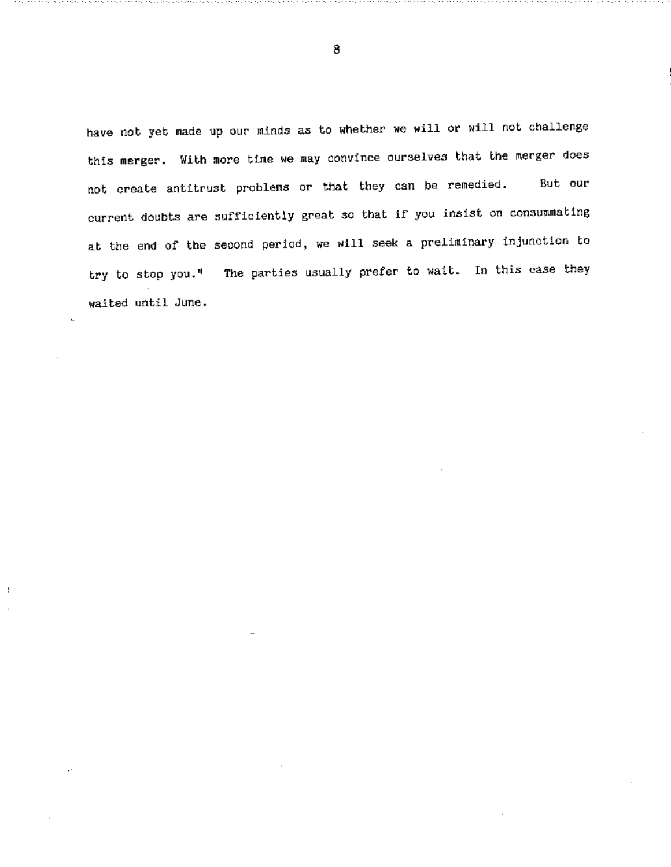have not yet made up our minds as to whether we will or will not challenge this merger. With more time we may convince ourselves that the merger does not create antitrust problems or that they can be remedied. But our current doubts are sufficiently great so that if you insist on consummating at the end of the second period, we will seek a preliminary injunction to try to stop you." waited until June. The parties usually prefer to wait. In this case they

and the second company of the second company and second the second second second second second second second second second second second second second second second second second second second second second second second s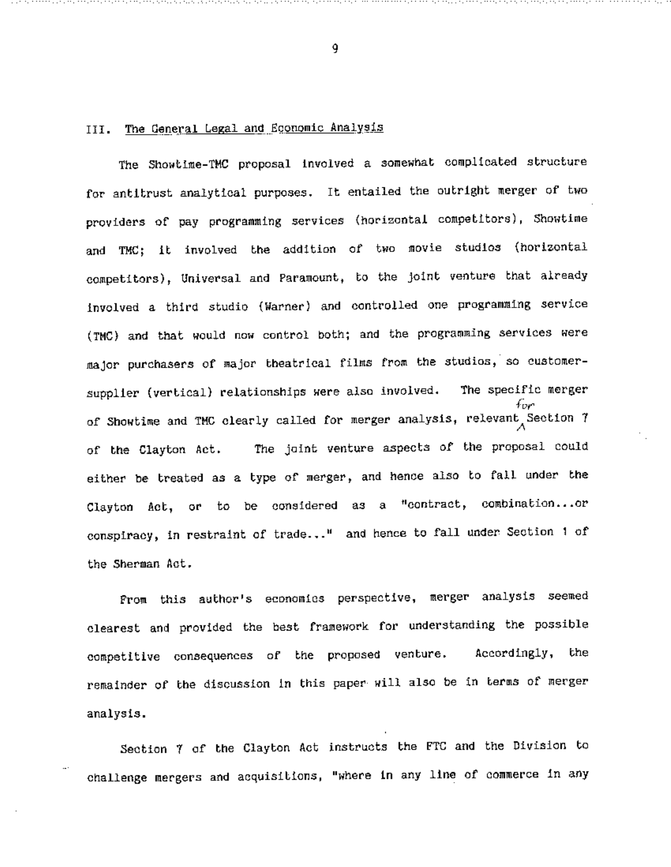# III. The General Legal and Economic Analysis

The Showtime-TMC proposal involved a somewhat complicated structure for antitrust analytical purposes. It entailed the outright merger of two providers of pay programming services (horizontal competitors), Showtime and TMC; it involved the addition of two movie studios (horizontal competitors), Universal and Paramount, to the joint venture that already involved a third studio (Warner) and controlled one programming service (TMC) and that would now control both; and the programming services were major purchasers of major theatrical films from the studios, so customersupplier (vertical) relationships were also involved. of Showtime and TMC clearly called for merger analysis, relevant Section 7 The specific merger  $f_{\nu r}$ of the Clayton Act. The joint venture aspects of the proposal could either be treated as a type of merger, and hence also to fall under the Clayton Act, or to be considered as a "contract, combination...or conspiracy, in restraint of trade..." and hence to fall under Section 1 of the Sherman Act.

From this author's economics perspective, merger analysis seemed clearest and provided the best framework for understanding the possible competitive consequences of the proposed venture. Accordingly, the remainder of the discussion in this paper will also be in terms of merger analysis.

Section 7 of the Clayton Act instructs the FTC and the Division to challenge mergers and acquisitions, "where in any line of commerce in any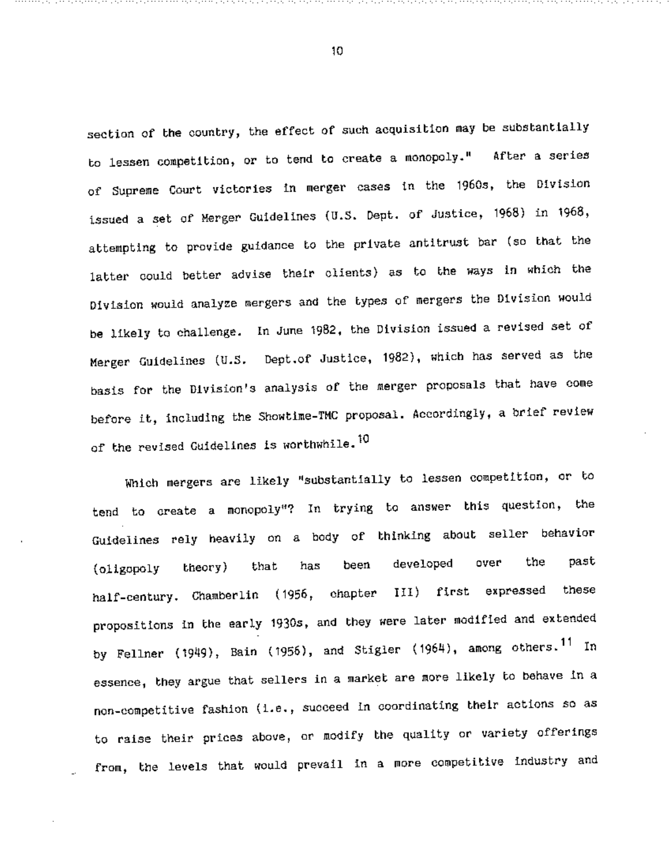section of the country, the effect of such acquisition may be substantlally to lessen competition, or to tend to create a monopoly." After a series of Supreme Court victories in merger cases tn the 1960s, the Division issued a set of Merger Guidelines (U.S. Dept. of Justice, 1968) in 1968, attempting to provide guidance to the private antitrust bar (so that the latter could better advise their clients) as to the ways in which the Division would analyze mergers and the types of mergers the Division would be likely to challenge. In June 1982, the Division issued a revised set of Merger Guidelines (U.S. Dept.of Justice, 1982), which has served as the basis for the Division's analysis of the merger proposals that have come before it, including the Showtime-TMC proposal. Accordingly, a brief review of the revised Guidelines is worthwhile.  $^{10}$ 

Which mergers are likely "substantially to lessen competition, or to tend to create a monopoly"? In trying to answer this question, the Guidelines rely heavily on a body of thinking about seller behavior (oligopoly theory) that has been developed over the past half-century. Chamberlin ( 1956, chapter III) first expressed these propositions in the early 1930s, and they were later modified and extended by Fellner (1949), Bain (1956), and Stigler (1964), among others.<sup>11</sup> In essence, they argue that sellers in a market are more likely to behave in a non-competitive fashion (i.e., succeed in coordinating their actions so as to raise their prices above, or modify the quality or variety offerings from, the levels that would prevail in a more competitive industry and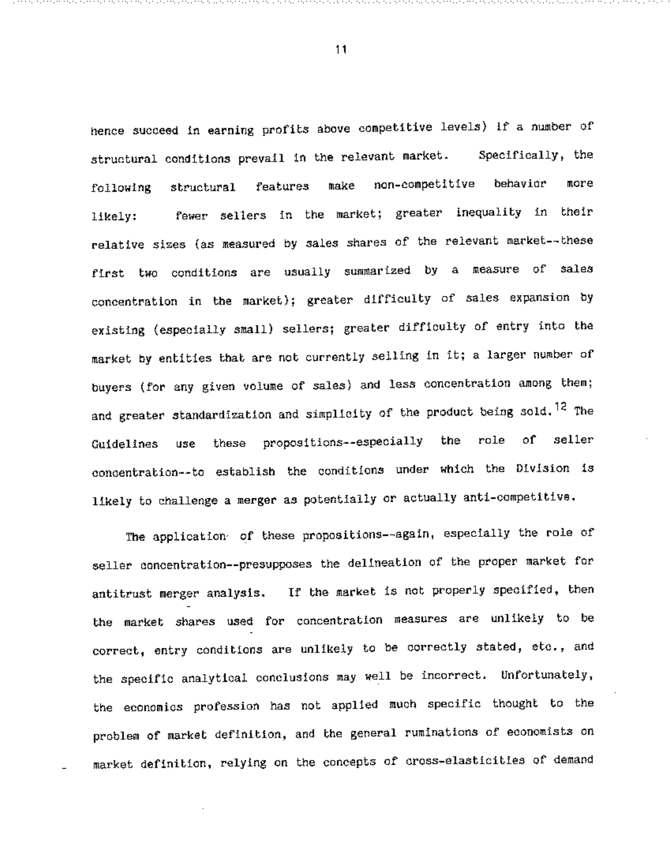hence succeed in earning profits above competitive levels) if a number of structural conditions prevail in the relevant market. Specifically, the following structural features make non-competitive behavior more likely: fewer sellers in the market; greater inequality in their relative sizes (as measured by sales shares of the relevant market--these first two conditions are usually summarized by a measure of sales concentration in the market); greater difficulty of sales expansion by existing (especially small) sellers; greater difficulty of entry into the market by entities that are not currently selling in it; a larger number of buyers (for any given volume of sales) and less concentration among them; and greater standardization and simplicity of the product being sold.<sup>12</sup> The Guidelines use these propositions--especially the role of seller concentration--to establish the conditions under which the Division is likely to challenge a merger as potentially or actually anti-competitive.

The application- of these propositions--again, especially the role of seller concentration--presupposes the delineation of the proper market for antitrust merger analysis. If the market is not properly specified, then the market shares used for concentration measures are unlikely to be correct, entry conditions are unlikely to be correctly stated, etc., and the specific analytical conclusions may well be incorrect. Unfortunately, the economics profession has not applied much specific thought to the problem of market definition, and the general ruminations of economists on market definition, relying on the concepts of cross-elasticities of demand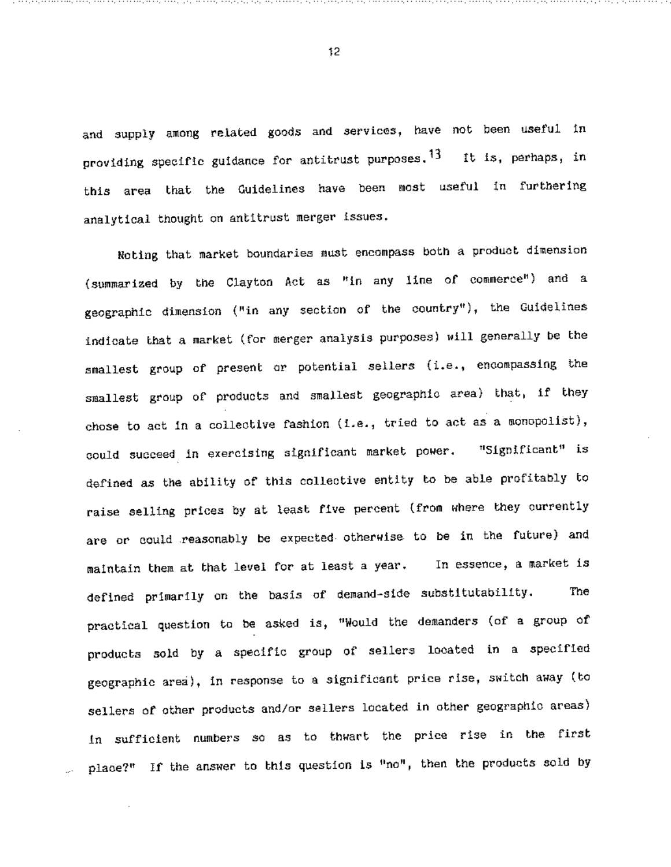and supply among related goods and services, have not been useful in providing specific guidance for antitrust purposes.<sup>13</sup> It is, perhaps, in this area that the Guidelines have been most useful in furthering analytical thought on antitrust merger issues.

Noting that market boundaries must encompass both a product dimension (summarized by the Clayton Act as "in any line of commerce") and a geographic dimension ("in any section of the country"), the Guidelines indicate that a market (for merger analysis purposes) will generally be the smallest group of present or potential sellers (i.e., encompassing the smallest group of products and smallest geographic area) that, if they chose to act in a collective fashion (i.e., tried to act as a monopolist), could succeed in exercising significant market power. "Significant" is derined as the ability of this collective entity to be able profitably to raise selling prices by at least five percent (from where they currently are or could reasonably be expected otherwise to be in the future) and maintain them at that level for at least a year. In essence, a market is defined primarily on the basis of demand-side substitutability. The practical question to be asked is, "Would the demanders (of a group of products sold by a specific group of sellers located in a specified geographic area), in response to a significant price rise, switch away (to sellers of other products and/or sellers located in other geographic areas) in sufficient numbers so as to thwart the price rise in the first place?" If the answer to this question is "no", then the products sold by

 $12$ 

and name and new steamers and the search of the state of the management of the state of the search of the management of the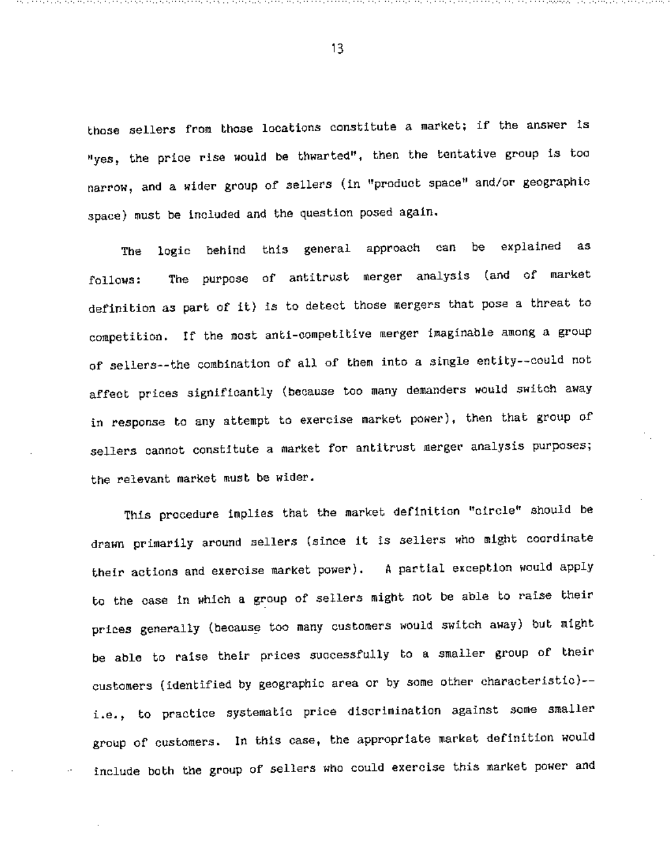those sellers from those locations constitute a market; if the answer is "yes, the price rise would be thwarted", then the tentative group is too narrow, and a wider group or sellers (in "product space" and/or geographic space) must be included and the question posed again.

The logic behind this general approach can be explained as follows: The purpose of antitrust merger analysis (and of market definition as part of it) is to detect those mergers that pose a threat to competition. If the most anti-competitive merger Imaginable among a group of sellers--the combination of all of' them into a single entity--could not affect prices significantly (because too many demanders would switch away in response to any attempt to exercise market power), then that group of sellers cannot constitute a market for antitrust merger analysis purposes; the relevant market must be wider.

This procedure implies that the market def'inition "circle" should be drawn primarily around sellers (since it is sellers who might coordinate their actions and exercise market power). A partial exception would apply to the oase in which a group of sellers might not be able to raise their prices generally (because too many customers would switch away) but might be able to raise their prices successfully to a smaller group of their customers (identified by geographic area or by some other characteristic) -i.e., to practice systematic price discrimination against some smaller group of customers. In this case, the appropriate market definition would include both the group of sellers who could exercise this market power and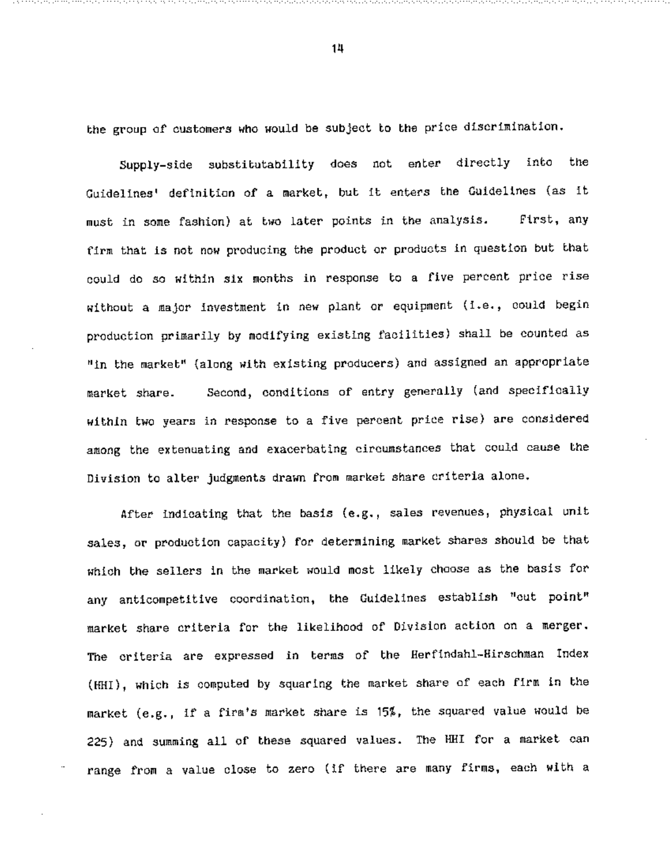the group of customers who would be subject to the price discrimination.

Supply-side substitutability does not enter directly into the Guidelines' definition of a market, but it enters the Guidelines (as it must in some fashion) at two later points in the analysis. Ftrst, any firm that is not now producing the product or products in question but that could do so within six months in response to a five percent price rise without a major investment in new plant or equipment (i.e., could begin production primarily by modifying existing facilities) shall be counted as "in the market" (along with existing producers) and assigned an appropriate market share. Second, conditions of entry generally (and specifically within two years in response to a five percent price rise) are considered among the extenuating and exacerbating circumstances that could cause the Division to alter judgments drawn from market share criteria alone.

After indicating that the basis (e.g., sales revenues, physicat unit sales, or production capacity} for determining market shares should be that which the sellers in the market would most likely choose as the basis for any anticompetitive coordination, the Guidelines establish "cut point" market share criteria for the likelihood of Division action on a merger. The criteria are expressed in terms of the Herfindahl-Hirschman Index (HHI), which is computed by squaring the market share of each firm in the market (e.g., if a firm's market share is 15%, the squared value would be 225) and summing all of these squared values. The HHI for a market can range from a value close to zero (if there are many firms, each with a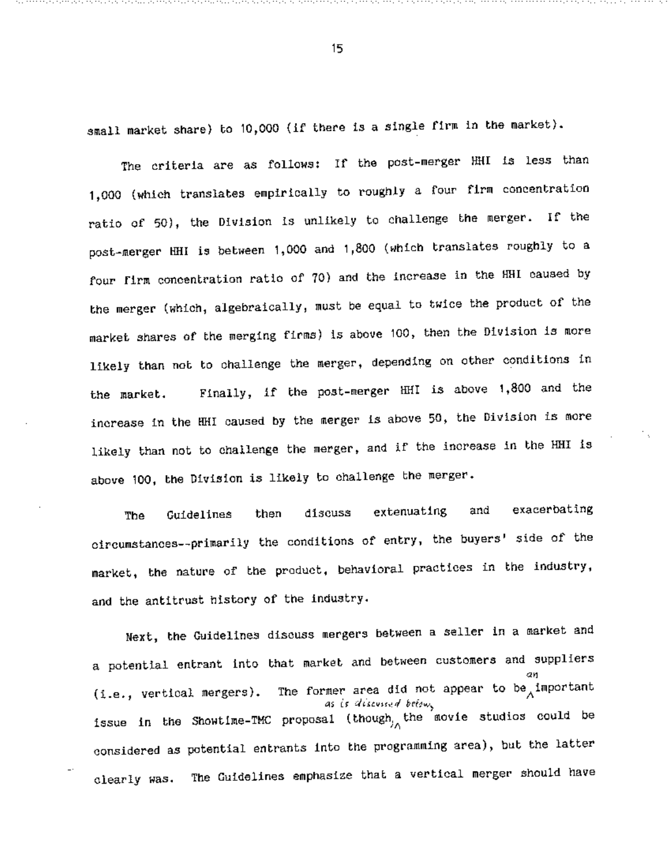small market share) to 10,000 (if there is a single firm in the market).

The criteria are as follows: If the post-merger HHI is less than 1,000 (which translates empirically to roughly a four firm concentration ratio of 50), the Division is unlikely to challenge the merger. If the post-merger IIHI is between 1,000 and 1,800 (which translates roughly to a four firm concentration ratio of 70) and the increase in the HHI caused by the merger (which, algebraically, must be equal to twice the product of the market shares of the merging firms) is above 100, then the Division is more likely than not to challenge the merger, depending on other conditions in the market. Finally, if the post-merger HHI is above 1,800 and the increase in the HHI caused by the merger is above 50, the Division is more likely than not to challenge the merger, and if the increase in the HHI is above 100, the Division is likely to challenge the merger.

Guidelines then discuss extenuating exacerbating The oircumstanoes--primarily the conditions of entry, the buyers' side of the market, the nature of the product, behavioral practices in the industry, and the antitrust history of the industry.

Next, the Guidelines discuss mergers between a seller in a market and a potential entrant into that market and between customers and suppliers (i.e., vertical mergers). The former area did not appear to be important as is discussed below, issue in the Showtime-TMC proposal (though, the movie studios could be considered as potential entrants into the programming area), but the latter clearly was. The Guidelines emphasize that a vertical merger should have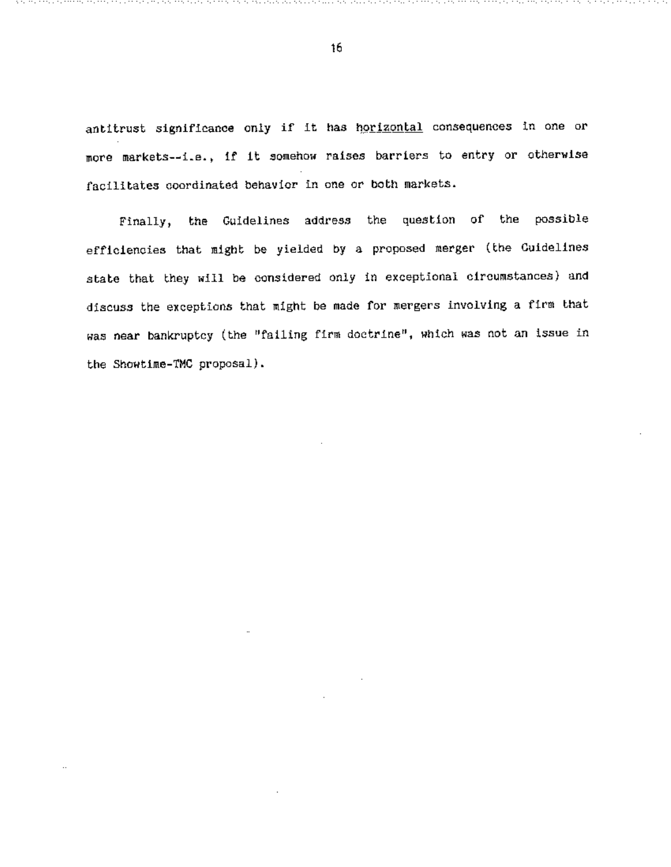antitrust significance only if it has horizontal consequences in one or more markets--i.e., if it somehow raises barriers to entry or otherwise facilitates coordinated behavior in one or both markets.

Finally, the Guidelines address the question of the possible efficiencies that might be yielded by a proposed merger (the Guidelines state that they will be considered only in exceptional circumstances) and discuss the exceptions that might be made for mergers involving a firm that was near bankruptcy (the "failing firm doctrine", which was not an issue in the Showtime-TMC proposal).

けいし かしかし かけしいかし かけがたし けいしゅかい けがか けがたい かかがたしかい

na na na sanaran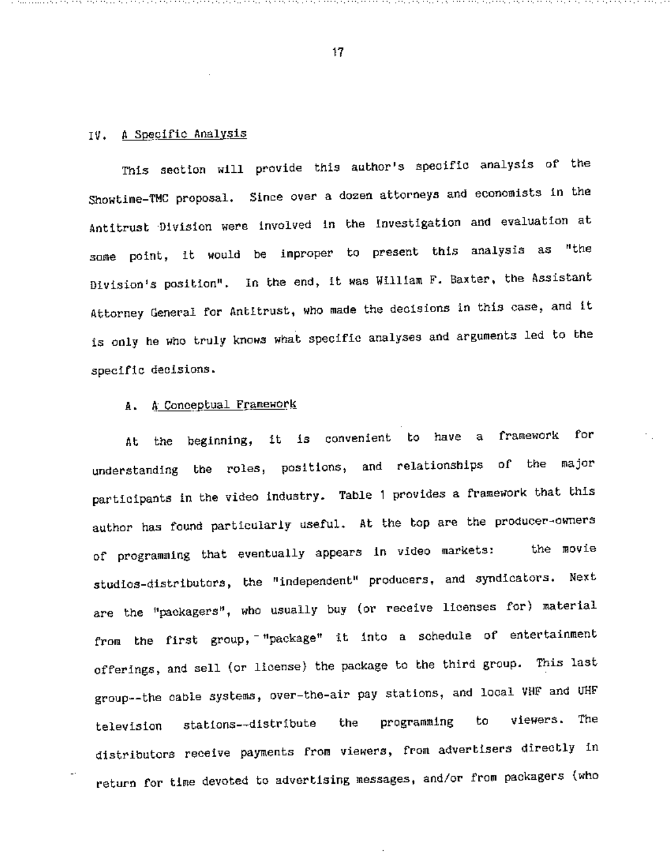# IV. A Specific Analysis

This section will provide this author's specific analysis of the Showtime-TMC proposal. Since over a dozen attorneys and economists in the Antitrust Division were involved in the Investigation and evaluation at some point, it would be improper to present this analysis as "the Division's position". In the end, it was William F. Baxter, the Assistant Attorney General for Antitrust, who made the decisions in this case, and it is only he who truly knows what specific analyses and arguments led to the specific decisions.

#### A Conceptual Framework А.

At the beginning, it is convenient to have a framework for understanding the roles, positions, and relationships of the major participants in the video industry. Table 1 provides a framework that this author has found particularly useful. At the top are the producer-owners of programming that eventually appears in video markets: the movie studios-distributors, the "independent" producers, and syndicators. Next are the "packagers", who usually buy (or receive licenses for) material from the first group, "package" it into a schedule of entertainment offerings, and sell (or license} the package to the third group. This last group--the cable systems, over-the-air pay stations, and local VHF and UHF television stations--distribute the programming to viewers. The distributors receive payments from viewers, from advertisers directly in return for time devoted to advertising messages, and/or from packagers {who

17

ng pangalang at pangalang at nagalang pang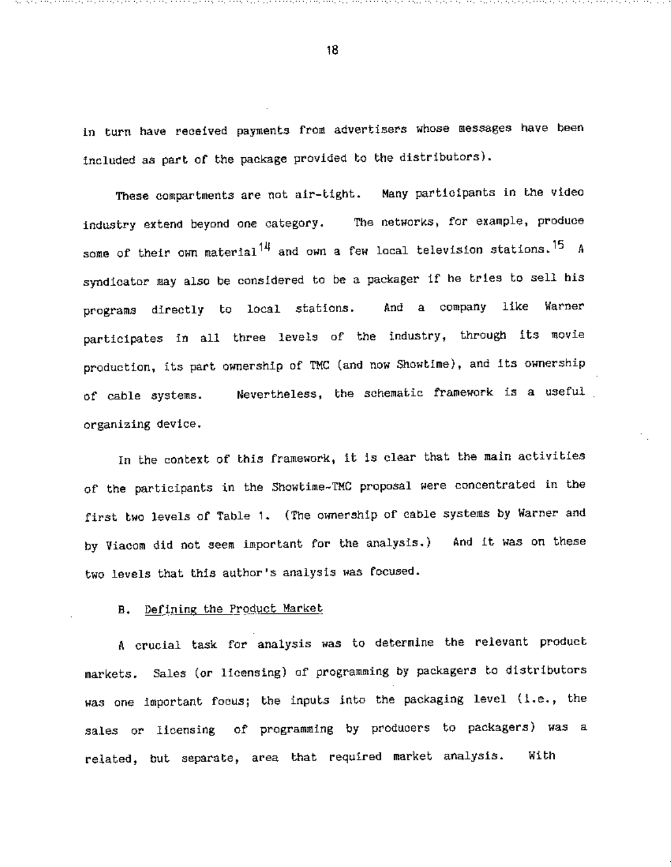in turn have received payments from advertisers whose messages have been included as part of the package provided to the distributors).

These compartments are not air-tight. Many participants in the video industry extend beyond one category. The networks, for example, produce some of their own material<sup>14</sup> and own a few local television stations.<sup>15</sup> A syndicator may also be considered to be a packager if he tries to sell his programa directly to local stations. And a company like Warner participates in all three levels of the industry, through its movie production, its part ownership of TMC (and now Showtlme), and its ownership of cable systems. organizing device. Nevertheless, the schematic framework is a useful

In the context of this framework, it is clear that the main activities of the participants in the Showtime~TMC proposal were concentrated in the first two levels of Table 1. (The ownership of cable systems by Warner and by Viacom did not seem important for the analysis.) And it was on these two levels that this author's analysts was focused.

# B. Defining the Product Market

A crucial task for analysis was to determine the relevant product markets. Sales (or licensing) of programming by packagers to distributors was one important focus; the inputs into the packaging level (i.e., the sales or licensing of programming by producers to packagers) was a related, but separate, area that required market analysis. With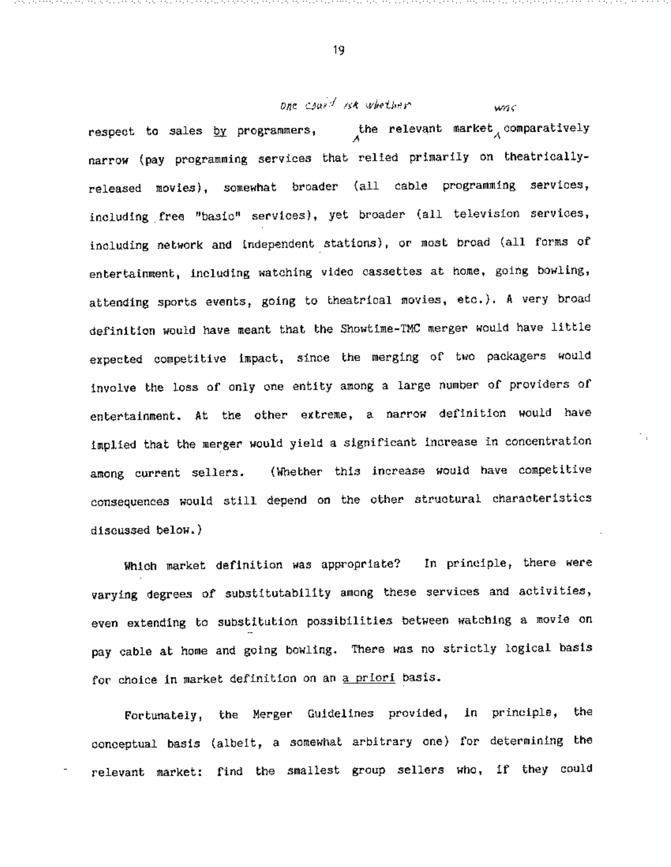wnc. respect to sales by programmers,  ${}$  the relevant market comparatively narrow (pay programming services that relied primarily on theatricallyreleased movies), somewhat broader (all cable programming services, including free "basic" services), yet broader (all television services, including network and independent stations), or most broad (all forms of entertainment, including watching video cassettes at home, going bowling, attending sports events, going to theatrical movies, etc.}. A very broad definition would have meant that the Showtime-TMC merger would have little expeded competitive impact, since the merging of two packagers would involve the loss of only one entity among a large number of providers of entertainment. At the other extreme, a narrow definition would have implied that the merger would yield a significant increase in concentration among current sellers. (Whether this increase would have competitive consequences would still depend on the other structural characteristics discussed below.)

Which market definition was appropriate? In principle, there were varying degrees of substitutability among these services and activities, even extending to substitution possibilities between watching a movie on pay cable at home and going bowling. There was no strictly logical basis for choice in market definition on an a priori basis.

Fortunately, the Merger Guidelines provided, in principle, the conceptual basis (albeit, a somewhat arbitrary one) for determining the relevant market: find the smallest group sellers who, if they could

19

one could lok whether

the total that they are a total to the state.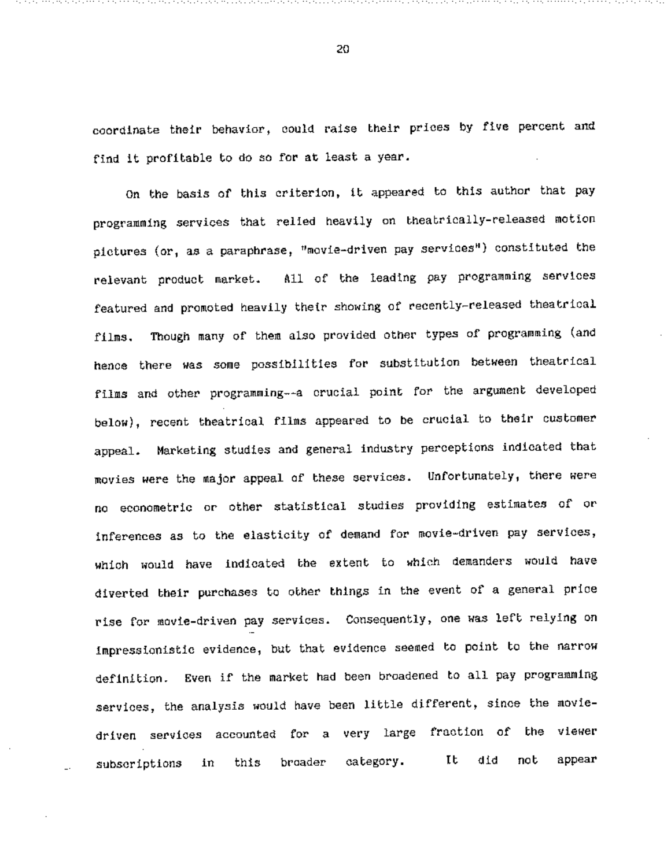coordinate their behavior, could raise their prices by five percent and find it profitable to do so for at least a year.

On the basis of this criterion, it appeared to this author that pay programming services that relied heavily on theatrically-released motion pictures (or, as a paraphrase, "movie-driven pay services") constituted the relevant produot market. All of the leading pay programming services featured and promoted heavily thetr showing of recently-released theatrical films. Though many of them also provided other types of programming (and hence there wes some possibilities for substitution between theatrical films and other programming--a crucial point for the argument developed below), recent theatrical films appeared to be crucial to their customer appeal. Marketing studies and general industry perceptions indicated that movies were the major appeal of these services. Unfortunately, there were no econometric or other statistical studies providing estimates of or inferences as to the elasticity of demand for movie-driven pay services, which would have indicated the extent to which demanders would have diverted their purchases to other things in the event of a general price rise for movie-driven pay services. Consequently, one was left relying on impressionistic evidence, but that evidence seemed to point to the narrow definition. Even if the market had been broadened to all pay programming services, the analysis would have been little different, since the moviedriven services accounted for a very large fraction of the viewer subscriptions in this broader category. It did not appear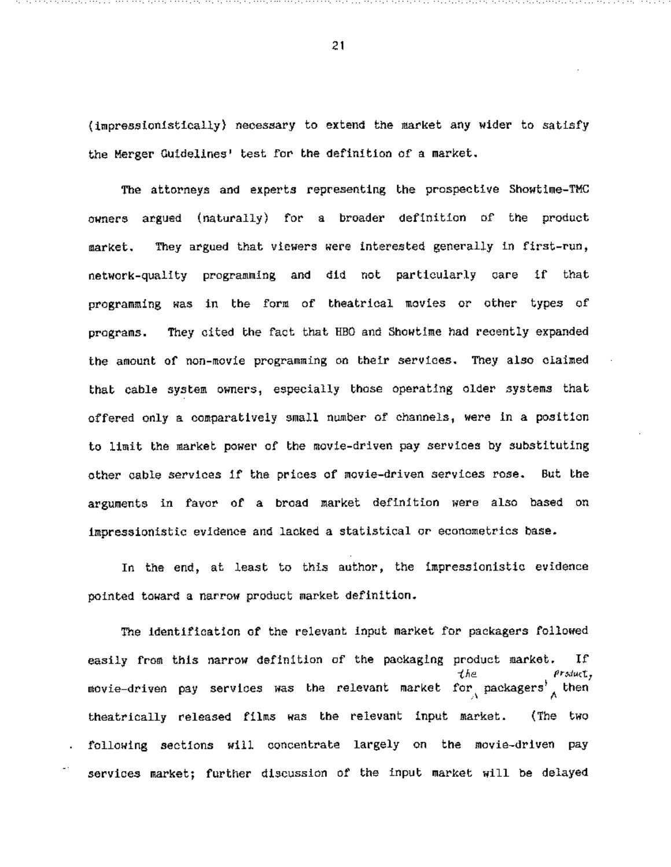{impressionistically) necessary to extend the market any wider to satisfy the Merger Guidelines' test for the definition of a market.

The attorneys and experts representing the prospective Showtime-TMC owners argued (naturally) for a broader definition or the product market. They argued that viewers were interested generally in first-run, network-quality programming and did not particularly care if that programming was in the form of theatrical movies or other types of programs. They cited the fact that HBO and Showtlme had recently expanded the amount of non-movie programming on their services. They also claimed that cable system owners, especially those operating older systems that offered only a comparatively small number of channels, were in a position to limit the market power of the movie-driven pay services by substituting other cable services if the prices of movie-driven services rose. But the arguments in favor of a broad market definition were also based on impressionistic evidence and lacked a statistical or econometrics base.

In the end, at least to this author, the impressionistic evidence pointed toward a narrow product market definition.

The identification of the relevant input market for packagers followed easily from this narrow definition of the packaging product market. If movie-driven pay services was the relevant market the *Product*<br>for packagers<sup>,</sup> then packagers'<sub>A</sub>'<br>"<sup>'</sup> theatrically released films was the relevant input market. (The two following sections will concentrate largely on the movie-driven pay services market; further discussion of the input market will be delayed

21

and a management of the state of the state of the state of the state of the state of the state of the state of

and the state of the state of the state of the state of the state of the state of the state of the state of the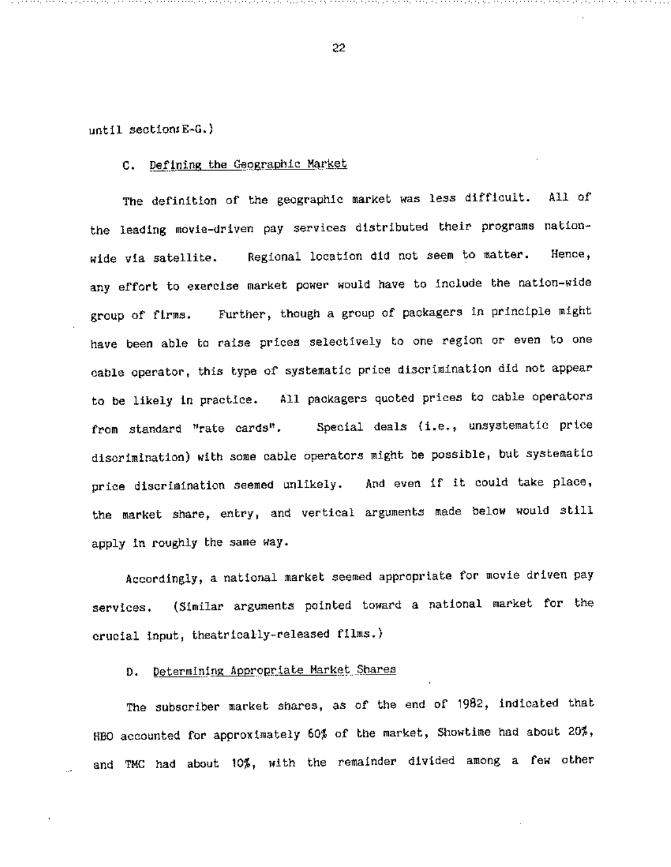until sectioniE-G.)

# C. Defining the Geographic Market

The definition of the geographic market was less difficult. All of the leading movie-driven pay services distributed their programs nationwide via satellite. Regional location did not seem to matter. Hence, any erfort to exercise market power would have to include the nation-wide group of firms, Further, though a group of packagers in principle might have been able to raise prices selectively to one region or even to one cable operator, this type of systematic price discrimination did not appear to be likely in practice. All packagers quoted prices to cable operators from standard "rate cards". Special deals (i.e., unsystematic price discrimination) with some cable operators might be possible, but systematic price discrimination seemed unlikely. And even if it could take place, the market share, entry, and vertical arguments made below would still apply in roughly the same way.

Accordingly, a national market seemed appropriate for movie driven pay services, (Similar arguments pointed toward a national market for the crucial input, theatrically-released films.}

#### Determining Appropriate Market Shares Đ.

The subscriber market shares, as of the end of 1982, indicated that HBO accounted for approximately 60% of the market, Showtime had about 20%, and TMC had about 10%, with the remainder divided among a few other

22

and the sending to the contract of the total transitions.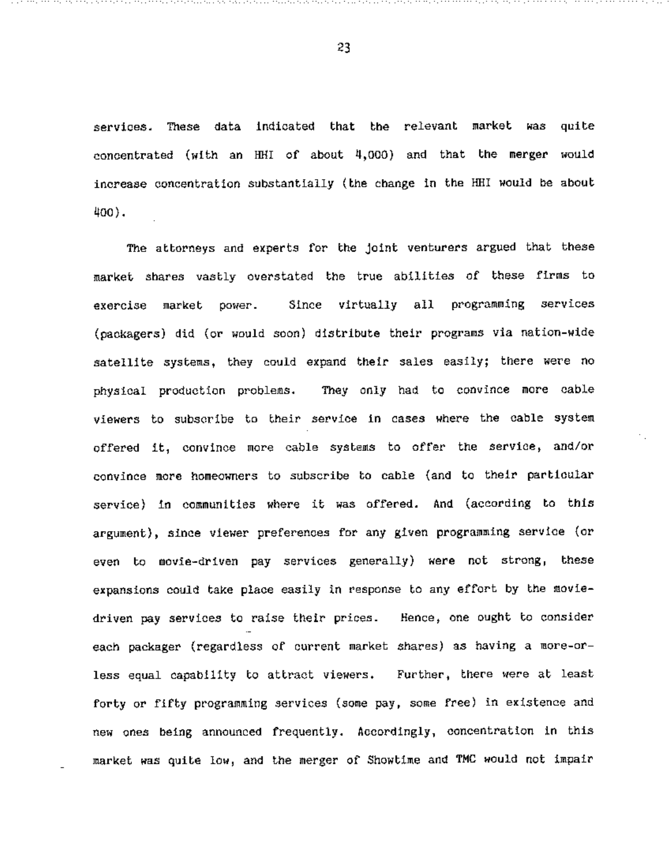services. These data indicated that the relevant market was quite concentrated (with an HHI of about 4,000) and that the merger would increase concentration substantially (the change in the HHI would be about 400}.

The attorneys and experts for the joint venturers argued that these market shares vastly overstated the true abilities of these firms to exercise market power. Since virtually all programming services (packagers) did (or would soon) distribute their programs via nation-wide satellite systems, they could expand their sales easily; there were no physical production problems. They only had to convince more cable viewers to subscribe to their service in cases where the cable system offered it, convince more cable systems to offer the service, and/or convince more homeowners to subscribe to cable {and to their particular service) in communities where it was offered. And (according to this argument}, since viewer preferences for any given programming service {or even to movie-driven pay services generally) were not strong, these expansions could take place easily in response to any effort by the moviedriven pay services to raise their prices. Hence, one ought to consider each packeger (regardless of current market shares) as having a more-orless equal capability to attract viewers. Further, there were at least forty or fifty programming services (some pay, some free) in existence and new ones being announced frequently. Accordingly, concentration in this market was quite low, and the merger of Showtime and TMC would not impair

23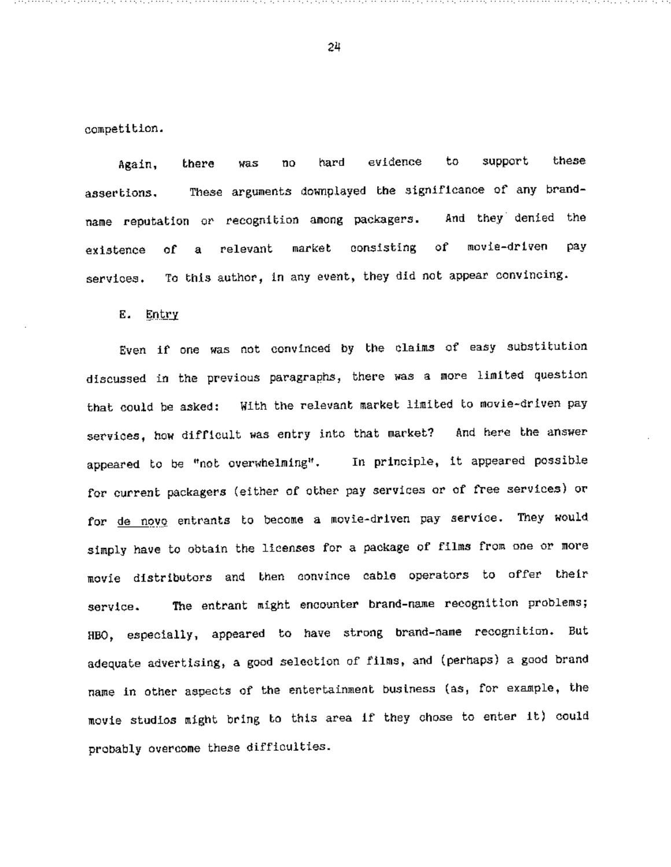competition.

计算机 计算术的过去式和过去分词 化对称 化乙基苯乙酸 医抗生殖 医心包 化二乙基 化二乙基 化二乙基乙基 计数字 化聚合物

Again, there was no hard evidence to support these assertions. These arguments downplayed the significance of any brandname reputation or recognition among packagers. And they denied the existence of a relevant market consisting of movie-driven pay services, To this author, in any event, they did not appear convincing.

E. Entry

Even if one was not convinced by the claims of easy substitution discussed in the previous paragraphs, there was a more limited question that could be asked: With the relevant market limited to movie-driven pay services, how difficult was entry into that market? And here the answer appeared to be "not overwhelming". In principle, it appeared possible for current packagers (either of other pay services or of free services) or for de novo entrants to become a movie-driven pay service. They would simply have to obtain the licenses for a package of films from one or more movie distributors and then convince cable operators to offer their service. The entrant might encounter brand-name recognition problems; HBO, especially, appeared to have strong brand-name recognition. But adequate advertising, a good selection of films, and (perhaps) a good brand name in other aspects of the entertainment business (as, for example, the movie studios might bring to this area if they chose to enter it) could probably overcome these difficulties.

24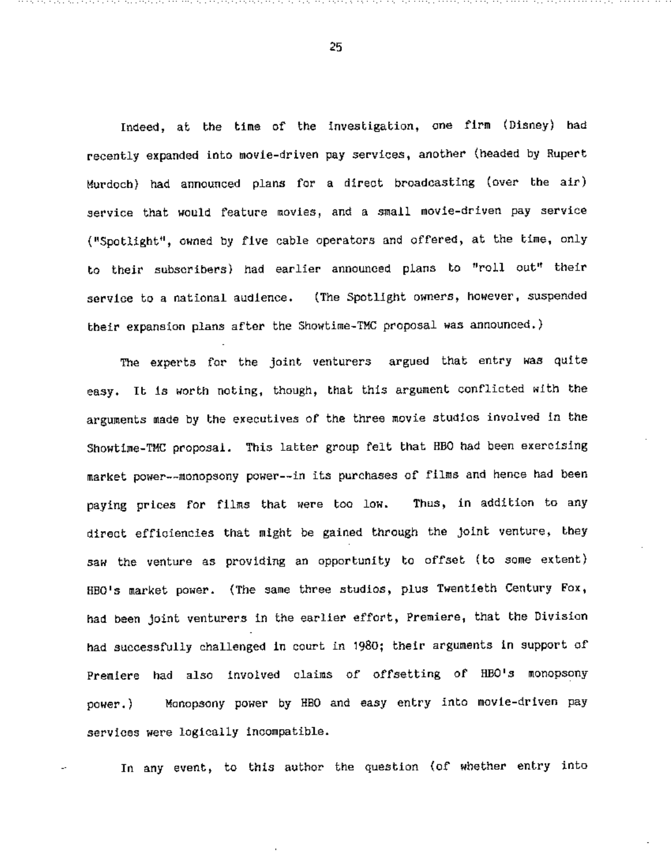Indeed, at the time of the investigation, one firm (Disney) had recently expanded into movie-driven pay services, another (headed by Rupert Murdoch) had announced plans for a direct broadcasting (over the air) service that would feature movies, and a small movie-driven pay service ("Spotlight", owned by five cable operators and offered, at the time, only *to* their subscribers) had earlier announced plans to "roll out'' their service to a national audience. (The Spotlight owners, however, suspended their expansion plans after the Showtime-TMC proposal was announced.)

The experts for the joint venturers argued that entry was quite easy, It is worth noting, though, that this argument conflicted with the arguments made by the executives of the three movie studios involved in the Showtime-TMC proposal. This latter group felt that HBO had been exercising market power--monopsony power--in its purchases of films and hence had been paying prices for films that were too low. Thus, in addition to any direct efficiencies that might be gained through the joint venture, they saw the venture as providing an opportunity to offset (to some extent} HBO's market power. (The same three studios, plus Twentieth Century Fox, had been joint venturers in the earlier effort, Premiere, that the Division had successfully challenged in court in 1980; their arguments in support or Premiere had also involved claims of offsetting of HBO's monopsony power.) Monopsony power by HBO and easy entry into movie-driven pay services were logically incompatible.

In any event, to this author the question (or whether entry into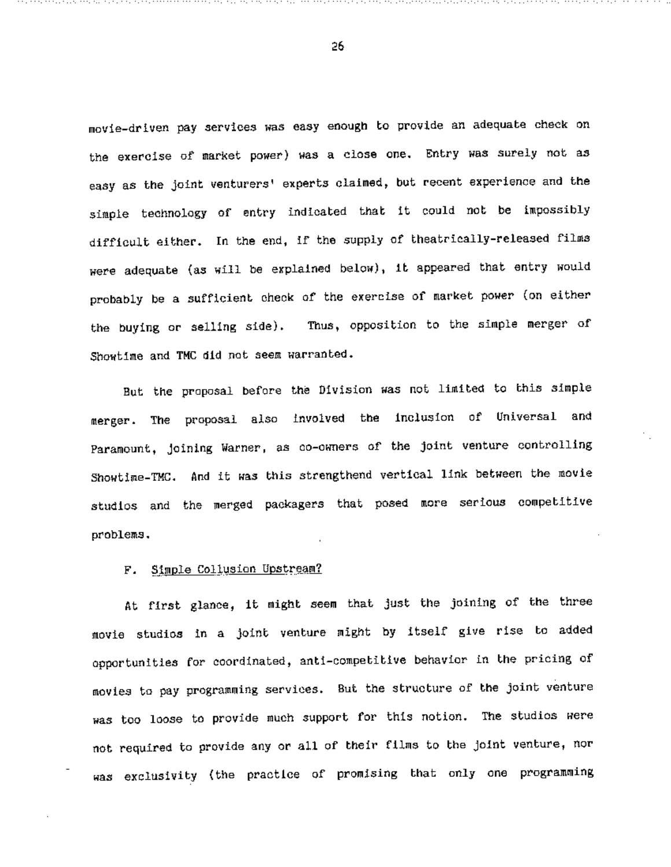movie-driven pay services was easy enough to provide an adequate check on the exercise of market power) was a close one. Entry was surely not as easy as the joint venturers' experts claimed, but recent experience and the simple technology of entry indicated that it could not be impossibly difficult either. In the end, if the supply of theatrically-released films were adequate (as will be explained below), it appeared that entry would probably be a sufficient check of the exercise of market power (on either the buying or selling side). Thus, opposition to the simple merger of Showtime and TMC did not seem warranted.

But the proposal before the Division was not limited to this simple merger. The proposal also involved the inclusion of Universal and Paramount, joining Warner, as co-owners of the joint venture controlling Showtime-TMC. And it was this strengthend vertical link between the movie studios and the merged packagers that posed more serious competitive problems.

## F. Simple Collusion Upstream?

At first glance, it might seem that just the joining of the three movie studios in a joint venture might by itself give rise to added opportunities for coordinated, anti-competitive behavior in the pricing of movies to pay programming services. But the structure of the joint venture was too loose to provide much support for this notion. The studios were not required to provide any or all of their films to the joint venture, nor was exclusivity (the practice of promising that only one programming

26

a ang pang-panahanang ang panganganan ng mga man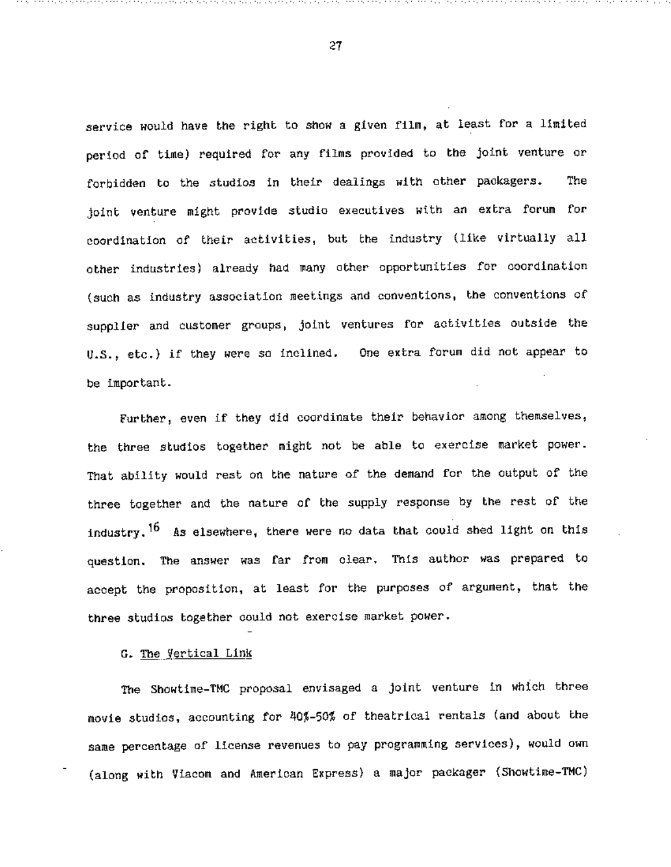service would have the right to show a given film, at least for a limited period of time) required for any films provided to the joint venture or forbidden to the studios in their dealings with other packagers. The joint venture might provide studio executives with an extra forum for coordination of their activities, but the industry (like virtually all other industries) already had many other opportunities for coordination (such as industry association meetings and conventions, the conventions of suppller and customer groups, joint ventures far activities outside the U.S., etc.) if they were so inclined. One extra forum did not appear to be important.

Further, even if they did coordinate their behavior among themselves, the three studios together might not be able to exercise market power. That ability would rest on the nature of the demand for the output of the three together and the nature of the supply response by the rest of the industry. <sup>16</sup> As elsewhere, there were no data that could shed light on this question. The answer was far from clear, This author was prepared to accept the proposition, at least for the purposes of argument, that the three studios together could not exercise market power.

#### G. The Vertical Link

The Showtime-TMC proposal envisaged a joint venture in which three movie studios, accounting for 40%-50% of theatrical rentals (and about the same percentage of license revenues to pay programming services), would own (along with 1/iacom and American Express) a major packager (Showtime-TMC)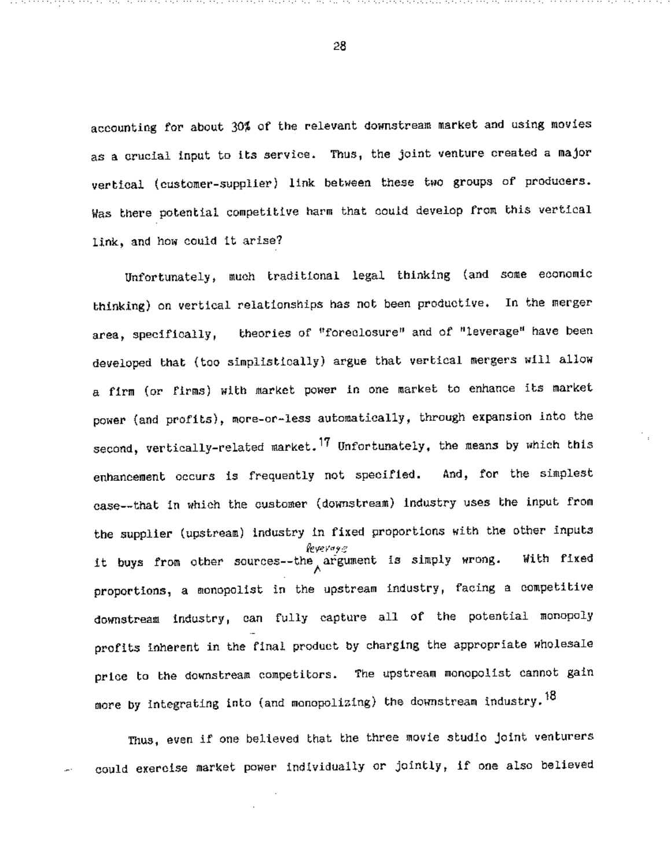accounting for about 30% of the relevant downstream market and using movies as a crucial input to its service. Thus, the joint venture created a major vertical (customer-supplier) link between these two groups of producers. Was there potential competitive harm that could develop from this vertical link, and how could it arise?

Unfortunately, much traditional legal thinking (and some economic thinking) on vertical relationships has not been productive. In the merger area, specifically, theories of "foreclosure" and of "leverage" have been developed that (too simplistically) argue that vertical mergers will allow a firm (or firms) with market power in one market to enhance its market power (and profits), more-or-less automatically, through expansion into the second, vertically-related market.<sup>17</sup> Unfortunately, the means by which this enhancement occurs is frequently not specified. And, for the simplest case--that in which the customer (downstream) industry uses the input from the supplier (upstream) industry in fixed proportions with the other inputs Reverage it buys from other sources--the  $\rho$  argument is simply wrong. With fixed proportions, a monopolist in the upstream industry, facing a competitive downstream industry, can fully capture all of the potential monopoly profits inherent in the final product by charging the appropriate wholesale price to the downstream competitors. The upstream monopolist cannot gain more by integrating into (and monopolizing) the downstream industry.  $18$ 

Thus, even if one believed that the three movie studio joint venturers could exercise market power individually or jointly, if one also believed

28

and the state

of the total probability the trade of the co-

the common state of the common state of the com-

and the state of the state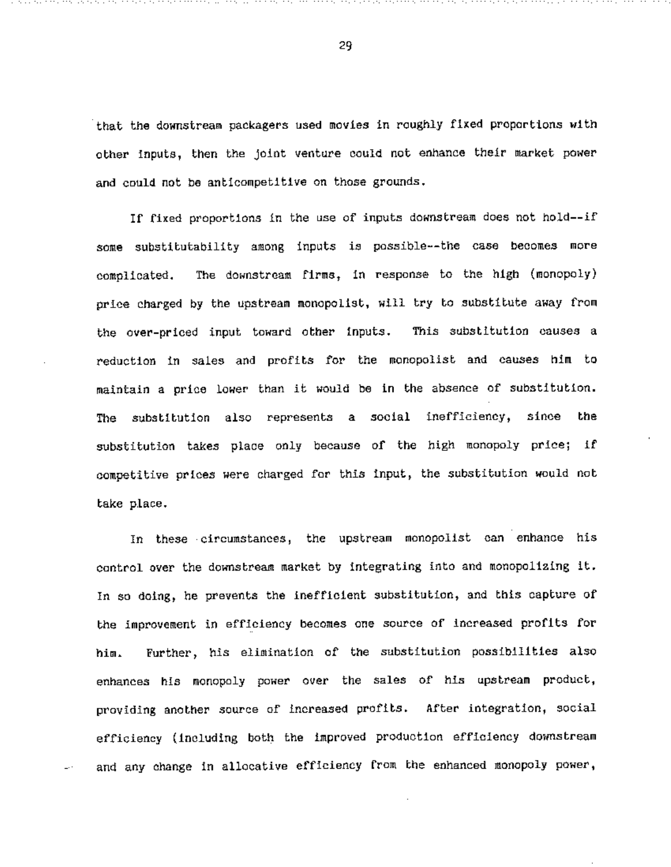that the downstream packagers used movies in roughly fixed proportions with other inputs, then the joint venture could not enhance their market power and could not be anticompetitive on those grounds.

If fixed proportions in the use of inputs downstream does not hold--if some substitutability among inputs is possible--the case becomes more complicated. The downstream firms, in response to the high (monopoly) price charged by the upstream monopolist, will try to substitute away from the over-priced input toward other inputs. This substitution causes a reduction in sales and profits for the monopolist and causes him to maintain a price lower than it would be in the absence of substitution. The substitution also represents a social inefficiency, since the substitution takes place only because of the high monopoly price; if competitive prices were charged for this input, the substitution would not take place.

In these circumstances, the upstream monopolist can enhance his control over the downstream market by integrating into and monopolizing it. In so doing, he prevents the inefficient substitution, and this capture of the improvement in efficiency becomes one source of increased profits for him. Further, his elimination of the substitution possibilities also enhances his monopoly power over the sales of' his upstream product, providing another source of increased profits. After integration, social efficiency (including both the improved production ef'ficiency downstream and any change in allocative efficiency from the enhanced monopoly power,

29

计算机数据 化聚合物 化热电阻 计数据 计数据 医神经性 计数据 计数据 计数据 计数据 计数据 计数据数据

and the company of the company of the company of the company of the company of the company of the company of the company of the company of the company of the company of the company of the company of the company of the comp

and the state of the state of the state of the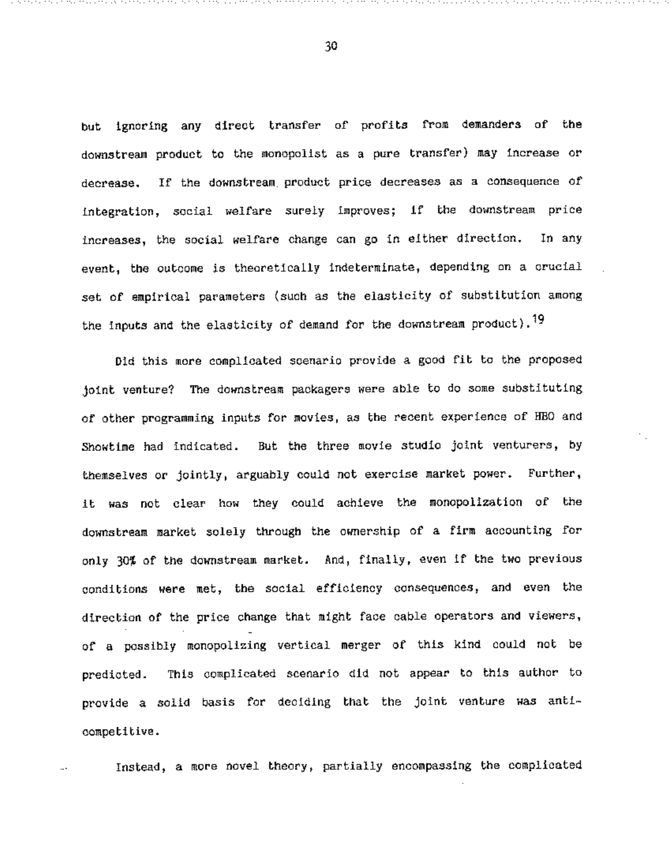but ignoring any direct transfer of profits from demanders of the downstream product to the monopolist as a pure transfer) may increase or decrease. If the downstream product price decreases as a consequence of integration, social welfare surely improves; if the downstream price increases, the social welfare change can go in either direction. In any event, the outcome is theoretically indeterminate, depending on a crucial set of empirical parameters (such as the elasticity of substitution among the inputs and the elasticity of demand for the downstream product).<sup>19</sup>

Did this more compllcated scenario provide a good fit to the proposed joint venture? The downstream packagers were able to do some substituting of other programming inputs for movies, as the recent experience of HBO and Showtime had indicated. But the three movie studio joint venturers, by themselves or jointly, arguably could not exercise market power. Further, it was not clear how they could achieve the monopolization of the downstream market solely through the ownership of a firm accounting for only 30% of the downstream market. And, finally, even if the two previous conditions were met, the social efficiency consequences, and even the direction of the price change that might face cable operators and viewers, of a possibly monopolizing vertical merger of this kind could not be predicted. This complicated scenario did not appear to this author to provide a solid basis for deciding that the joint venture was anticompetitive.

Instead, a more novel theory, partially encompassing the complicated

30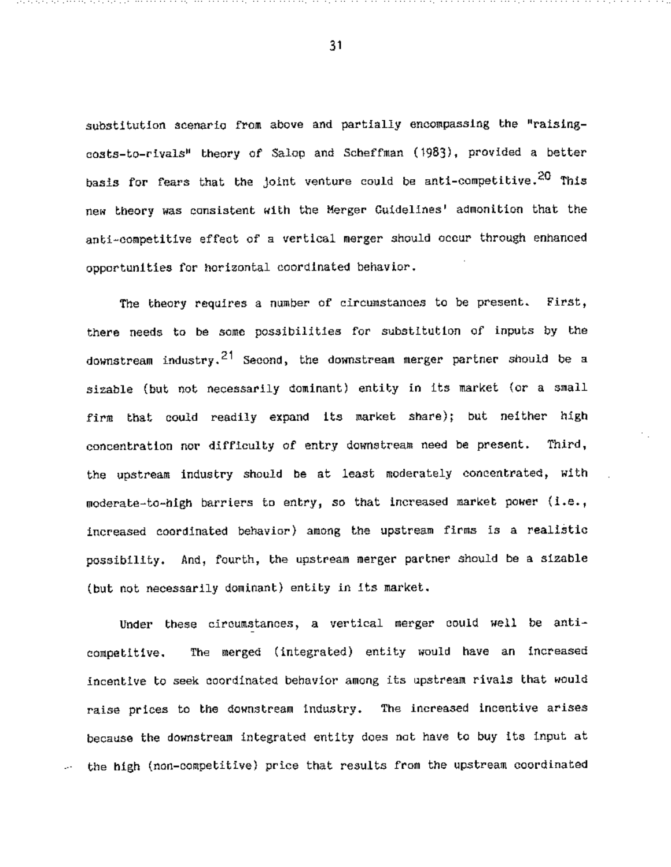substitution scenario from above and partially encompassing the "raisingcosts-to-rivals" theory of Salop and Scheffman (1983), provided a better basis for fears that the joint venture could be anti-competitive.<sup>20</sup> This new theory was consistent with the Merger Guidelines' admonition that the anti-competitive effect of a vertical merger should occur through enhanced opportunities for horizontal coordinated behavior.

The theory requires a number of circumstances to be present. First, there needs to be some possibilities for substitution of inputs by the downstream industry.<sup>21</sup> Second, the downstream merger partner should be a sizable (but not necessarily dominant) entity in its market (or a small firm that could readily expand its market share); but neither high concentration nor difficulty of entry downstream need be present. Third, the upstream industry should be at least moderately concentrated, with moderate-to-high barriers to entry, so that increased market power {i.e., increased coordinated behavior} among the upstream firms is a realistic possibility, And, fourth, the upstream merger partner should be a sizable (but not necessarily dominant) entity in its market.

Under these circumstances, a vertical merger could well be anticompetitive. The merged (integrated) entity would have an increased incentive to seek coordinated behavior among its upstream rivals that would raise prices to the downstream industry. The increased incentive arises because the downstream integrated entity does not have to buy its input at the high (non-competitive} price that results from the upstream coordinated

31

agagangga ama masa may ama maana mga maanaan mga magaan an ana ana maananag ana na manananag na na na na na na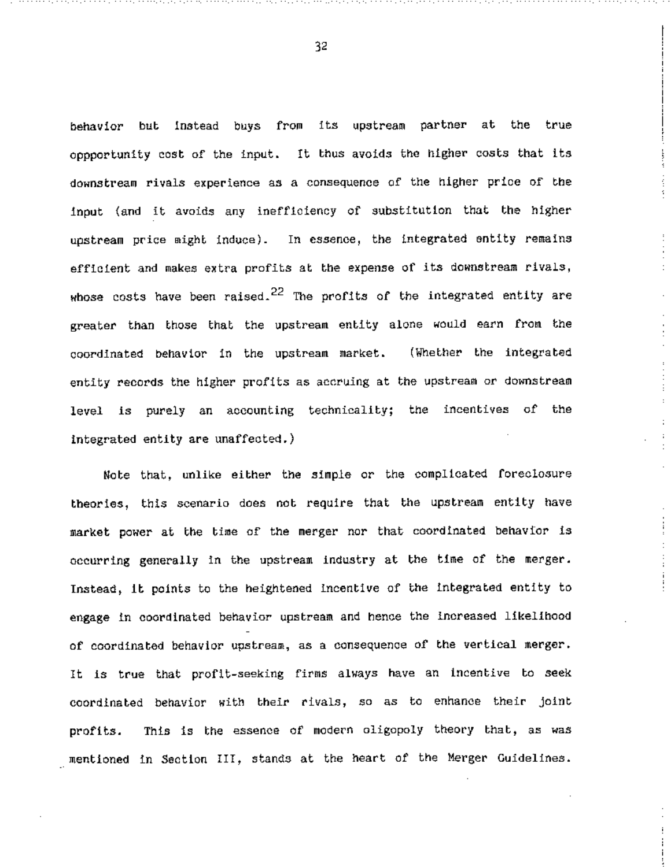behavior but instead buys from its upstream partner at the true oppportunity cost of the input. It thus avoids the higher costs that its downstream rivals experience as a consequence of the higher price of the input (and it avoids any inefficiency of substitution that the higher upstream price might induce). In essence, the integrated entity remains efficient and makes extra profits at the expense of its downstream rivals, whose costs have been raised.<sup>22</sup> The profits of the integrated entity are greater than those that the upstream entity alone would earn from the coordinated behavior in the upstream market. (Whether the integrated entity records the higher profits as accruing at the upstream or downstream level is purely an accounting technicality; the incentives of the integrated entity are unaffected.)

Note that, unlike either the simple or the complicated foreclosure theories, this scenario does not require that the upstream entity have market power at the time of the merger nor that coordinated behavior is occurring generally in the upstream industry at the time of the merger. Instead, it points to the heightened incentive of the integrated entity to engage in coordinated behavior upstream and hence the increased likelihood of coordinated behavior upstream, as a consequence of the vertical merger. It is true that profit-seeking firms always have an incentive to seek coordinated behavior with their rivals, 50 as to enhance their joint profits. This is the essence of modern oligopoly theory that, as was mentioned in Section III, stands at the heart of the Merger Guidelines.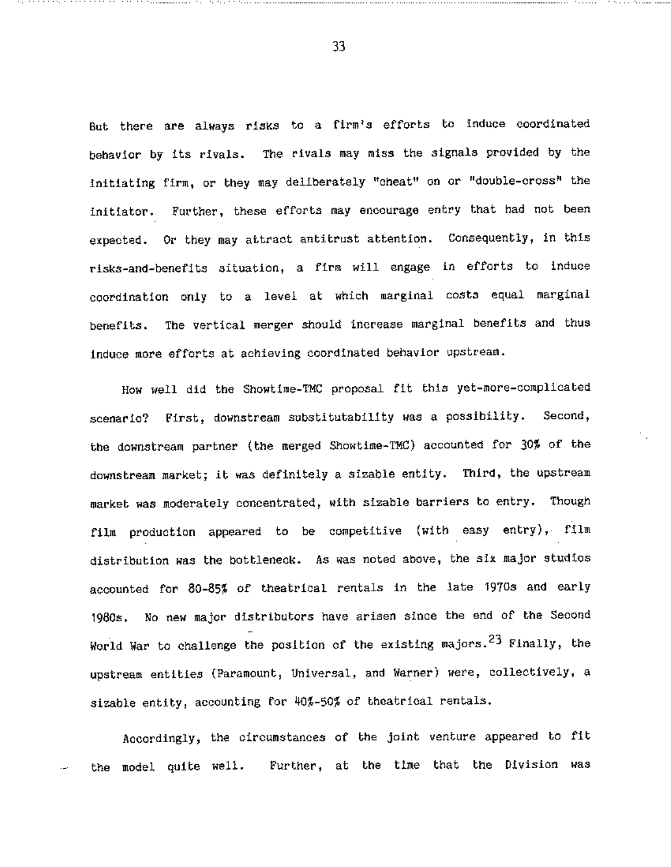But there are always risks to a firm's efforts to induce coordinated behavior by its rivals. The rivals may miss the signals provided by the initiating firm, or they may deliberately "cheat" on or "double-cross" the initiator. Further, these efforts may encourage entry that had not been expected. Or they may attract antitrust attention. Consequently, in this risks-and-benefits situation, a firm will engage in efforts to induce coordination only to a level at which marginal costs equal marginal benefits. The vertical merger should increase marginal benefits and thus induce more efforts at achieving coordinated behavior upstream.

How well did the Showtime-TMC proposal fit this yet-more-complicated scenario? First, downstream substitutability was a possibility. Second, the downstream partner (the merged Showtime-TMC) accounted for 30% of the downstream market; it was definitely a sizable entity. Third, the upstream market was moderately concentrated, with sizable barriers to entry. Though film production appeared to be competitive (with easy entry), film distribution was the bottleneck. As was noted above, the six major studios accounted for 80-85% of theatrical rentals in the late 1970s and early 1980s, No new major distributors have arisen since the end or the Second World War to challenge the position of the existing majors.<sup>23</sup> Finally, the upstream entities (Paramount, Universal, and Warner) were, collectively, a sizable entity, accounting for 40%-50% of theatrical rentals.

Accordingly, the circumstances of the joint venture appeared to fit the model quite well. Further, at the time that the Division was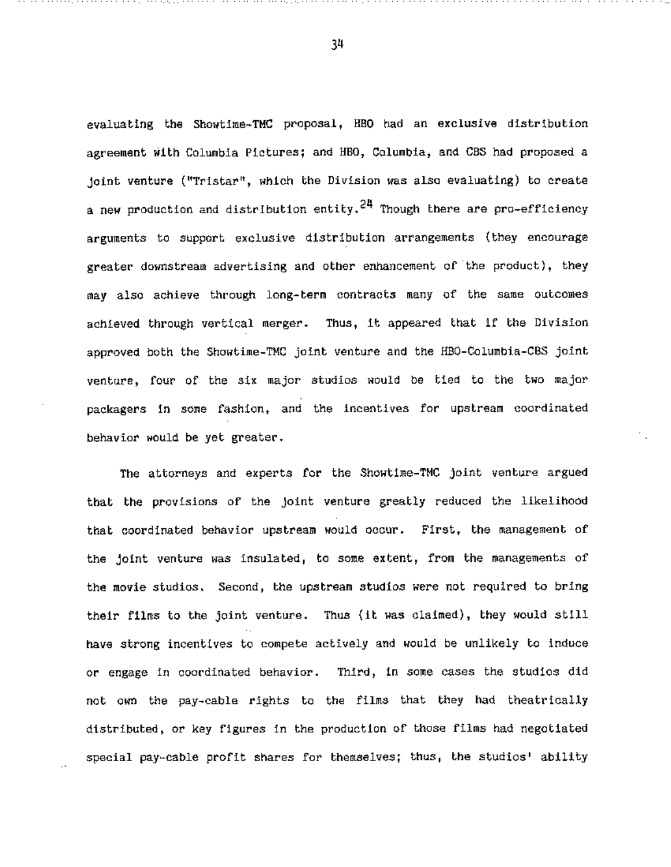evaluating the Showtime-TMC proposal, HBO had an exclusive distribution agreement with Columbia Pictures; and HBO, Columbia, and CBS had proposed a Joint venture ("Tristar", which the Division was also evaluating) to create a new production and distribution entity, $^{24}$  Though there are pro-efficiency arguments to support exclusive distribution arrangements (they encourage greater downstream advertising and other enhancement of the product), they may also achieve through long-term contracts many of the same outcomes achieved through vertical merger. Thus, it appeared that if the Division approved both the Showtime-TMC joint venture and the HBO-Columbia-CBS joint venture, four of the six major studios would be tied to the two major packagers in some fashion, and the incentives for upstream coordinated behavior would be yet greater.

The attorneys and experts for the Showtime-TMC joint venture argued that the provisions of the Joint venture greatly reduced the likelihood that coordinated behavior upstream would occur. First, the management of the joint venture was insulated, to some extent, from the managements of the movie studios, Second, the upstream studios were not required to bring their films to the joint venture. Thus {it was claimed), they would still have strong incentives to compete actively and would be unlikely to induce or engage in coordinated behavior. Third, in some cases the studios did not own the pay-cable rights to the films that they had theatrically distributed, or key figures in the production of those films had negotiated special pay-cable profit shares for themselves; thus, the studios' ability

34

.<sub>.</sub> . . . . . . . . . . . . .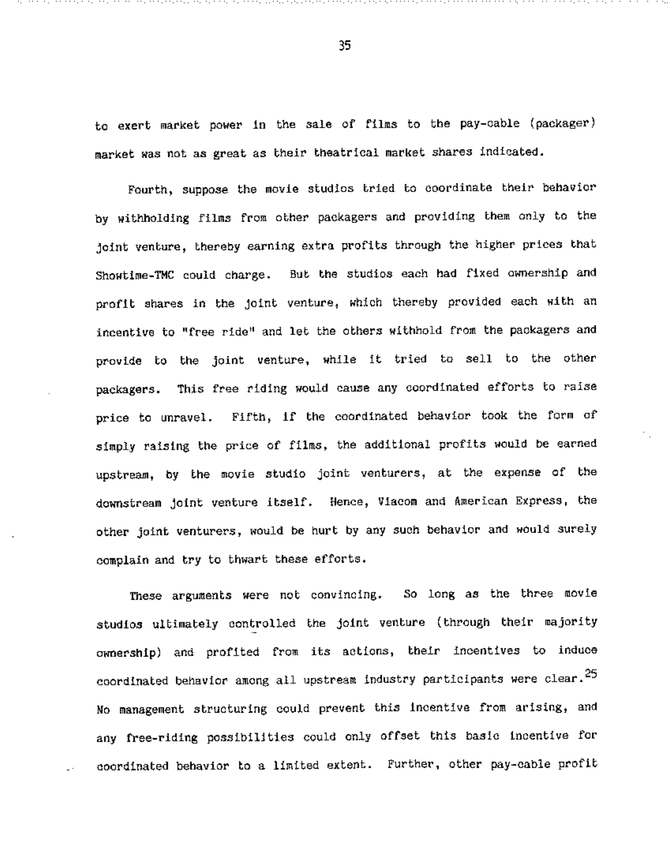to exert market power 1n the sale of films to the pay-cable (packager) market was not as great as their theatricai market shares indicated.

Fourth, suppose the movie studios tried to coordinate their' behavior by withholding films from other packagers and providing them only to the joint venture, thereby earning extra profits through the higher prices that Showtime-TMC could charge. But the studios each had fixed ownership and profit shares in the joint venture, which thereby provided each with an incentive to "free ride" and let the others withhold from the packagers and provide to the joint venture, while it tried to sell to the other packagers. This free riding would cause any coordinated efforts to raise price to unravel. Fifth, if the coordinated behavior took the form of simply raising the price of films, the additional profits would be earned upstream, by the movie studio joint venturers, at the expense of the downstream joint venture itself. Hence, Viacom and American Express, the other joint venturers, would be hurt by any such behavior and would surely complain and try to thwart these efforts.

These arguments were not convincing. So long as the three movie studios ultimately controlled the joint venture (through their majority ownership) and profited from its actions, their incentives to induce coordinated behavior among all upstream industry participants were clear. $^{25}$ No management structuring could prevent this incentive from arising, and any free-riding possibilities could only offset this basic incentive for coordinated behavior to a limited extent. Further, other pay-cable profit

35

医无足的 医内皮性皮肤 医生物 医抗原 医型的 医无核 医无核 医无核 医无核 医无核 医无核的 医无视 医血管 医下颌

and a state of the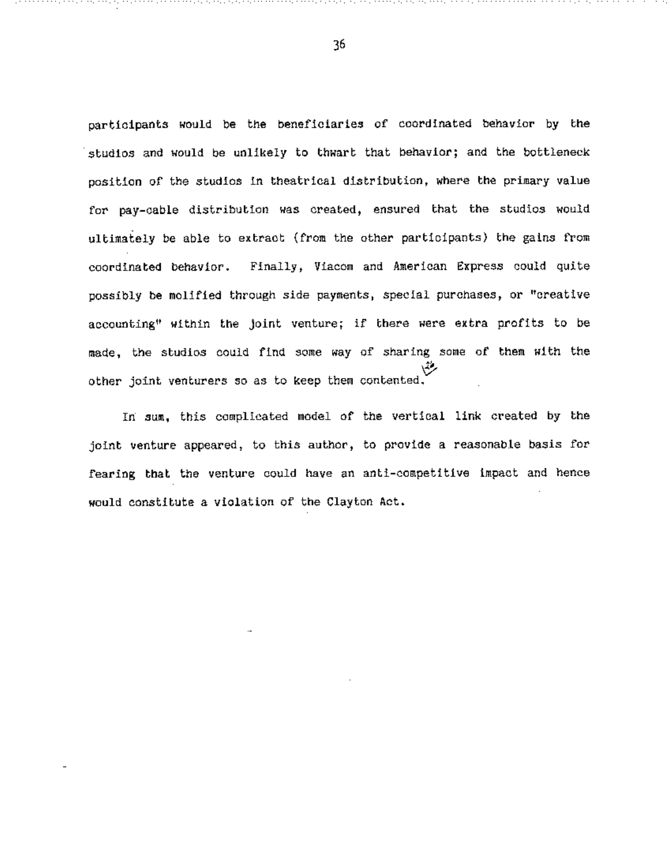participants would be the beneficiaries of coordinated behavior by the studios and would be unlikely to thwart that behavior; and the bottleneck position of the studios in theatrical distribution, where the primary value for pay-cable distribution was created, ensured that the studios would ultimately be able to extract {from the other participants) the gains from coordinated behavior. Finally, Viacom and American Express could quite possibly be molified through side payments, special purchases, or "creative accounting" within the Joint venture; if there were extra profits to be made, the studios could find some way of sharing some of them with the مِنْ )<br>• other joint venturers so as to keep them contented.

In swn, this complicated model of' the vertical link created by the joint venture appeared, to this author, to provide a reasonable basis for fearing **that** the venture could have an anti-competitive impact and hence would constitute a violation of the Clayton Act.

an dan bagain dan bagi dan dari dan bagi dan bagain dan dalam dan dan dan bagain dan dalam dan dan dan dan dan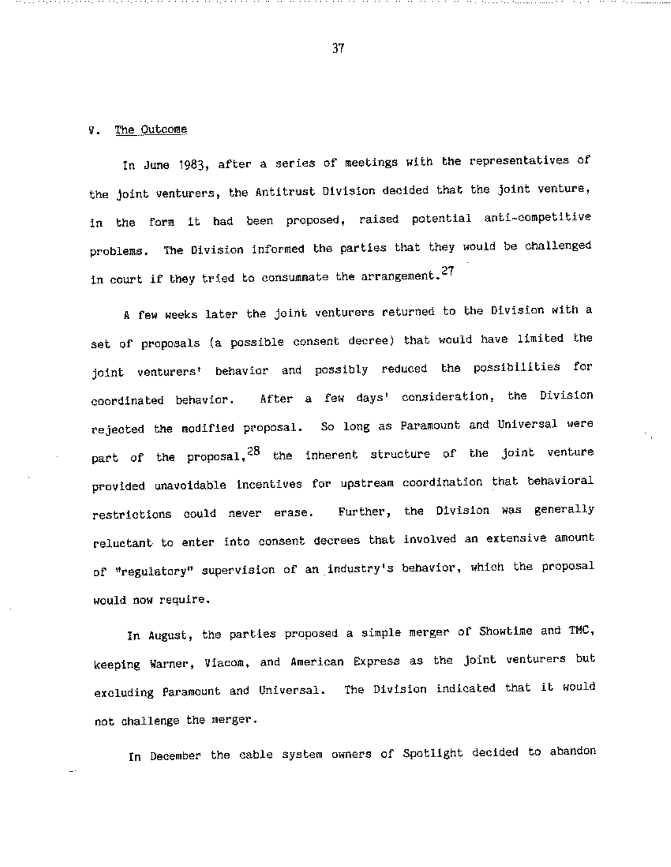# **V.** The Outcome

In June 1983, after a series of meetings with the representatives of the joint venturers, the Antitrust Division decided that the joint venture, in the form it had been proposed, raised potential anti-competitive problems. The Division informed the parties that they would be challenged in court if they tried to consummate the arrangement.<sup>27</sup>

A few weeks later the joint venturers returned to the Division with a set of proposals (a possible consent decree) that would have limited the joint venturers' behavior and possibly reduced the possibilities for coordinated behavior. After a few days' consideration, the Division rejected the modified proposal. So long as Paramount and Universal were part of the proposal,  $28$  the inherent structure of the joint venture provided unavoidable incentives for upstream coordination that behavioral restrictions could never erase. Further, the Division was generally reluctant to enter into consent decrees that involved an extensive amount of "regulatory" supervision of an industry's behavior, which the proposal would now require.

In August, the parties proposed a simple merger of Showtime and TMC, keeping Warner, Viacom, and American Express as the joint venturers but excluding Paramount and Universal. The Division indicated that it would not challenge the merger.

In December the cable system owners of Spotlight decided to abandon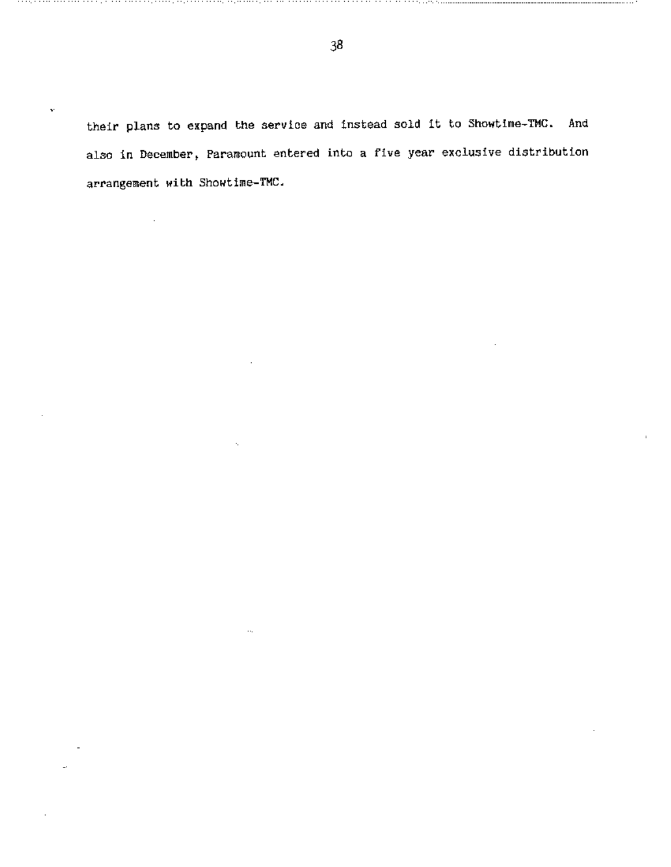their plans to expand the service and instead sold it to Showtime-TMC. And also in December, Paramount entered into a five year exclusive distribution arrangement **with** Showtime-TMC.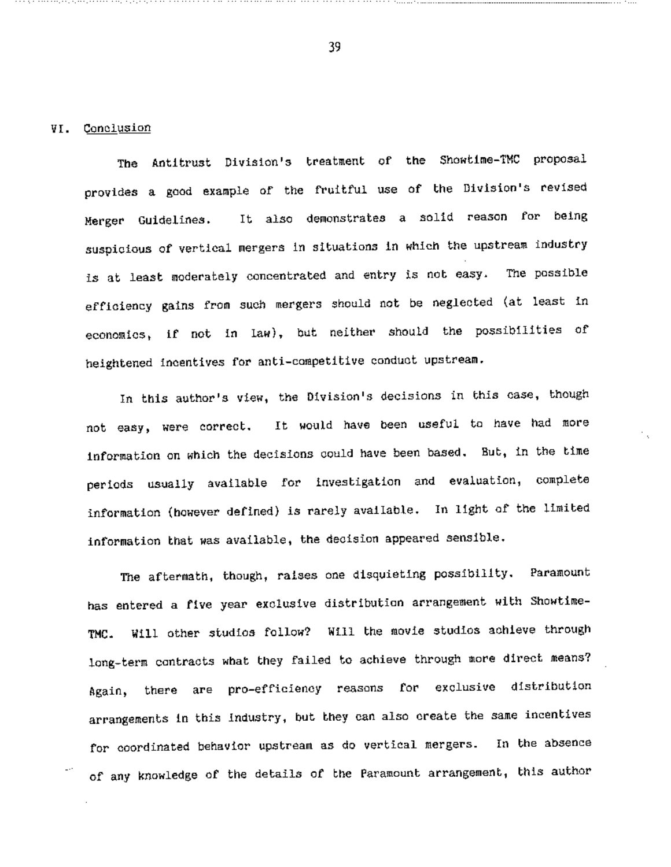## VI. Conclusion

The Antitrust Division's treatment of the Showtime-TMC proposal provides a good example of the fruitful use of the Division's revised Merger Guidelines. It also demonstrates a solid reason for being suspicious of vertical mergers in situations in which the upstream industry is at least moderately concentrated and entry is not easy. The possible efficiency gains from such mergers should not be neglected (at least in economics, if not in law), but neither should the possibilities of heightened incentives for anti-competitive conduct upstream.

In this author's view, the Division's decisions in this case, though not easy, were correct. It would have been useful to have had more information on which the decisions could have been based. But, in the time periods usually available for investigation and evaluation, complete information (however defined) is rarely available. In light of the limited information that was available, the decision appeared sensible.

The aftermath, though, raises one disquieting possibility. Paramount has entered a five year exclusive distribution arrangement with Showtime-TMC. Will other studios follow? Will the movie studios achieve through long-term contracts what they failed to achieve through more direct means? Again, there are pro-efficiency reasons for exclusive distribution arrangements in this Industry, but they can also create the same incentives for coordinated behavior upstream as do vertical mergers. In the absence of any knowledge of the details of the Paramount arrangement, this author

39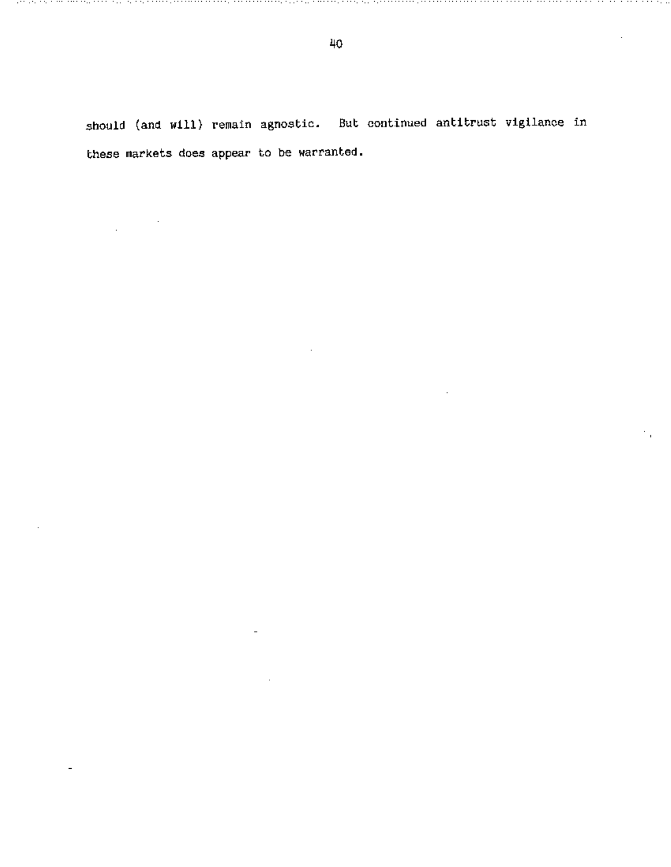should (and will) remain agnostic. But continued antitrust vigilance in these markets does appear to be warranted.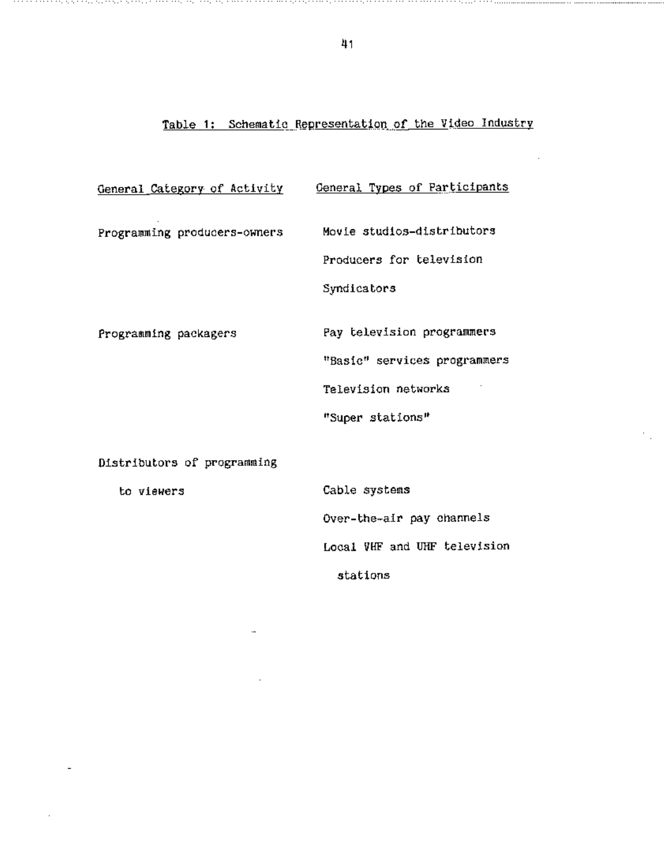# Table 1: Schematic Representation of the Video Industry

 $\mathcal{L}_{\mathcal{A}}$ 

| General Category of Activity | Ceneral Types of Participants                          |
|------------------------------|--------------------------------------------------------|
| Programming producers-owners | Movie studios-distributors<br>Producers for television |
|                              | Syndicators                                            |
| Programming packagers        | Pay television programmers                             |
|                              | "Basic" services programmers                           |
|                              | Television networks                                    |
|                              | "Super stations"                                       |
| Distributors of programming  |                                                        |
| to viewers                   | Cable systems                                          |
|                              | Over-the-air pay channels                              |
|                              | Local VHF and UHF television                           |

 $\ddot{\phantom{a}}$ 

stations

 $41$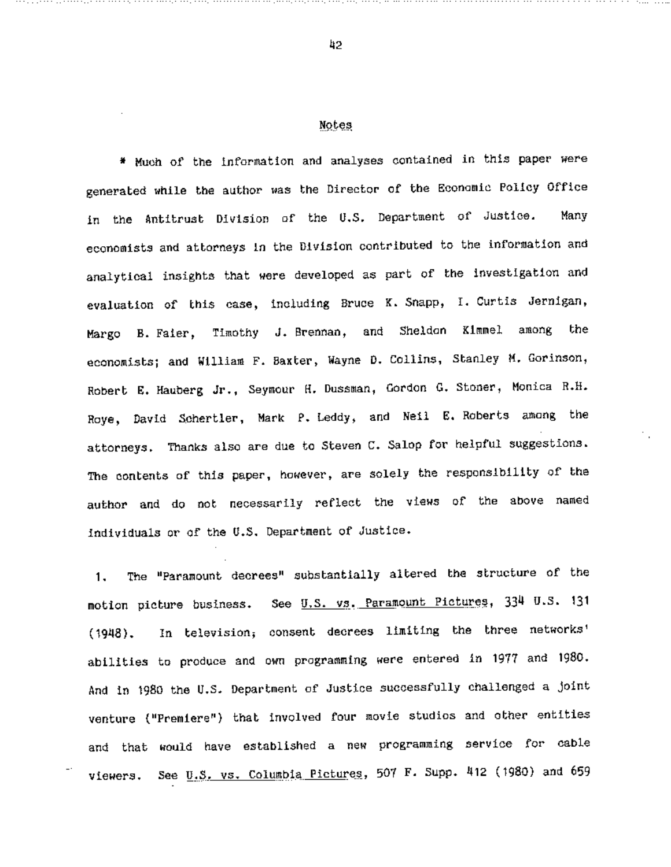#### Notes

\* Much of the information and analyses contained in this paper were generated while the author was the Director of the Economic Policy Office in the Antitrust Division of the U.S. Department of Justice. Many economists and attorneys in the Division contributed to the information and analytical insights that were developed as part of the investigation and evaluation of this case, including Bruce K. Snapp, I. Curtis Jernigan, Margo B. Faler, Timothy J. Brennan, and Sheldon Kimmel among the economists; and William F. Baxter, Wayne 0. Collins, Stanley M. Gorinson, Robert E. Hauberg Jr., Seymour H. Dussman, Gordon G. Stoner, Monica R.H. Roye, David Sohertler, Mark P. Leddy, and Neil E. Roberts among the attorneys. Thanks also are due to Steven C. Salop for helpful suggestions. The contents of this paper, however, are solely the responsibility of' the author and do not necessarily reflect the views of the above named individuals or or the U.S. Department of Justice.

1. The "Paramount decrees" substantially altered the structure of the motion picture business. See U.S. vs. Paramount Pictures, 334 U.S. 131 (19-48). In television; consent decrees limiting the three networks' abilities to produce and own programming were entered in 1977 and 1980. And in 1980 the U.S. Department of Justice successfully challenged a joint venture {"Premiere") that involved four movie studios and other entities and that would have established a new programming service for cable viewers. See U.S. vs. Columbia Pictures, 507 F. Supp. 412 (1980) and 659

42.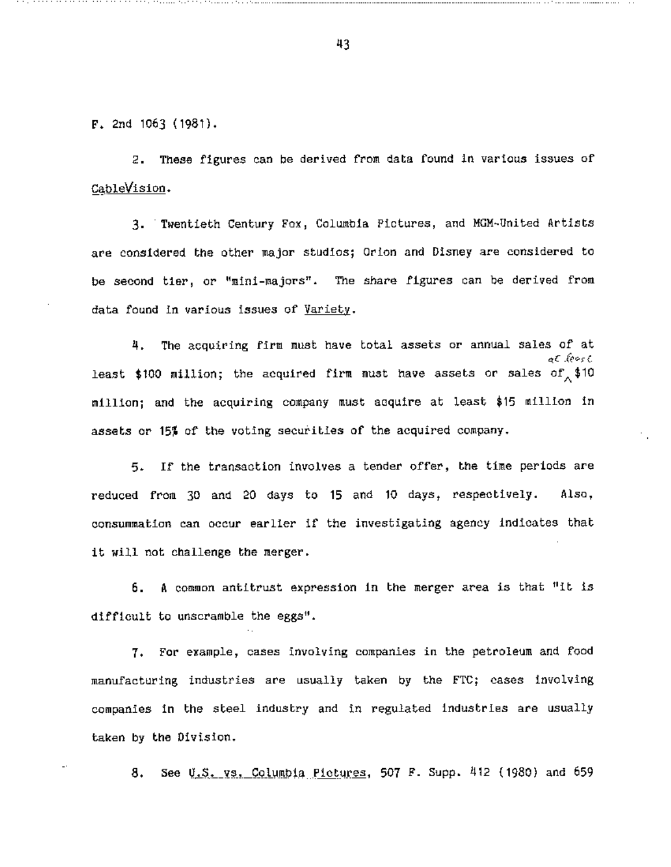F. 2nd 1063 (1981),

2. These figures can be derived from data found in various issues of CableVision.

3. Twentieth Century Fox, Colwnbia Pictures, and MGM-United Artists are considered the other major studios; Orion and Disney are considered to be second tier, or "mini-majors". The share figures can be derived from data found in various issues of Variety.

4. The acquiring firm must have total assets or annual sales of at  $\sigma$ E. from E. least \$100 million; the acquired firm must have assets or sales of \$10 million; and the acquiring company must acquire at least \$15 million in assets or 15% of the voting securities of the acquired company.

5. If the transaction involves a tender offer, the time periods are reduced from 30 and 20 days to 15 and 10 days, respectively. Also, consummation can occur earlier if the investigating agency indicates that it will not challenge the merger.

6. A common antitrust expression in the merger area is that "it is difficult to unscramble the eggs".

7. For example, cases involving companies in the petroleum and food manufacturing industries are usually taken by the FTC; cases involving companies in the steel industry and in regulated industries are usually taken by the Division.

8. See U.S. vs. Columbia Pictures, 507 F. Supp. 412 (1980) and 659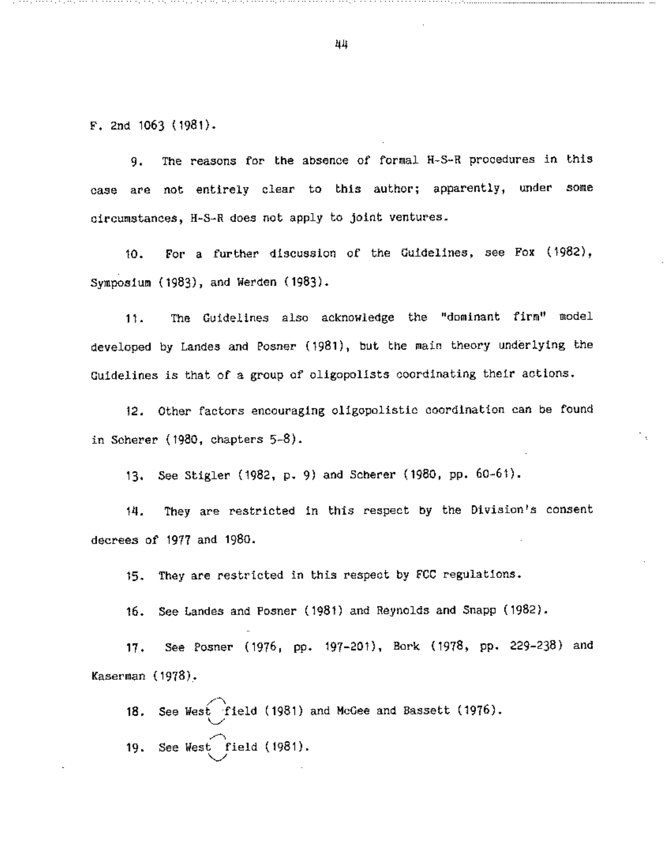F, 2nd 1063 (1981).

and a gang and a bailean and an agricagional and agricagion grand and an analysis and an analysis and an any

9, The reasons for the absence of formal H-S-R procedures in this case are not entirely clear to this author; apparently, under some circumstances, H-S-R does not apply to joint ventures.

10. For a further discussion of the Guidelines, 5ee Fox (1982), Symposium (1983), and Werden (1983).

11, The Guidelines also acknowledge the "dDminant firm" model developed by Landes and Posner ( 1981), but the main theory underlying the Guidelines is that of a group of oligopolists coordinating their actions.

12. Other factors encouraging oligopolistic coordination can be found in Scherer (1980, chapters 5-8).

13, See Stigler (1982, p. 9) and Scherer (1980, pp, 60-61).

14. They are restricted in this respect by the Division's consent decrees of 1977 and 1980.

15. They are restricted in this respect by FCC regulations.

16. See Landes and Posner (1981) and Reynolds and Snapp (1982).

17, See Posner (1976, pp. 197-201), Bork (1978, pp. 229-238) and Kaserman (1978).

18. See West field (1981) and McGee and Bassett (1976). ~ 19. Seo West field (1981). *'J*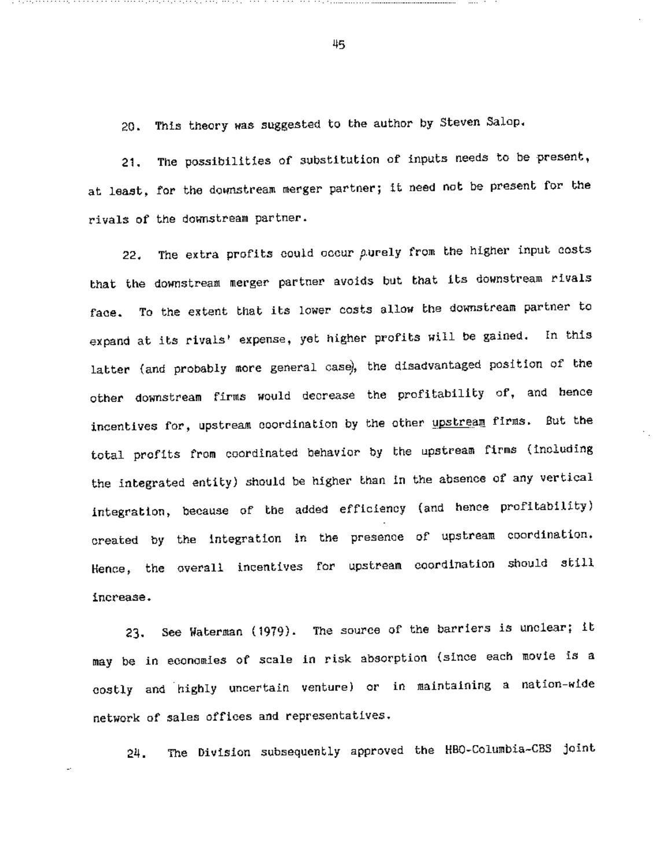20. This theory was suggested to the author by Steven Salop,

21. The possibilities of substitution of inputs needs to be present, at least, for the downstream merger partner; it need not be present for the rivals of the downstream partner.

22. The extra profits could occur  $\rho$ .urely from the higher input costs that the downstream merger partner avoids but that its downstream rivals face. To the extent that its lower costs allow the downstream partner to expand at its rivals' expense, yet higher profits will be gained. In this latter (and probably more general case), the disadvantaged position of the other downstream firms would decrease the profitability of, and hence incentives for, upstream coordination by the other upstream firms. But the total profits from coordinated behavior by the upstream firms (including the integrated entity) should be higher than in the absence of any vertical integration, because of the added efficiency (and hence profitability) created by the integration in the presence of upstream coordination, Hence, the overall incentives for upstream coordination should still increase.

23. See Waterman (1979). The source of the barriers is unclear; it may be in economies of scale in risk absorption (since each movie is a costly and highly uncertain venture) or in maintaining a nation-wide network of sales offices and representatives.

24. The Division subsequently approved the HBO-Columbia-CBS joint

45

nda da dago da da da da da da dara a daga ay daya ay da gunaay sa digas yayo a da doona da da da da da dago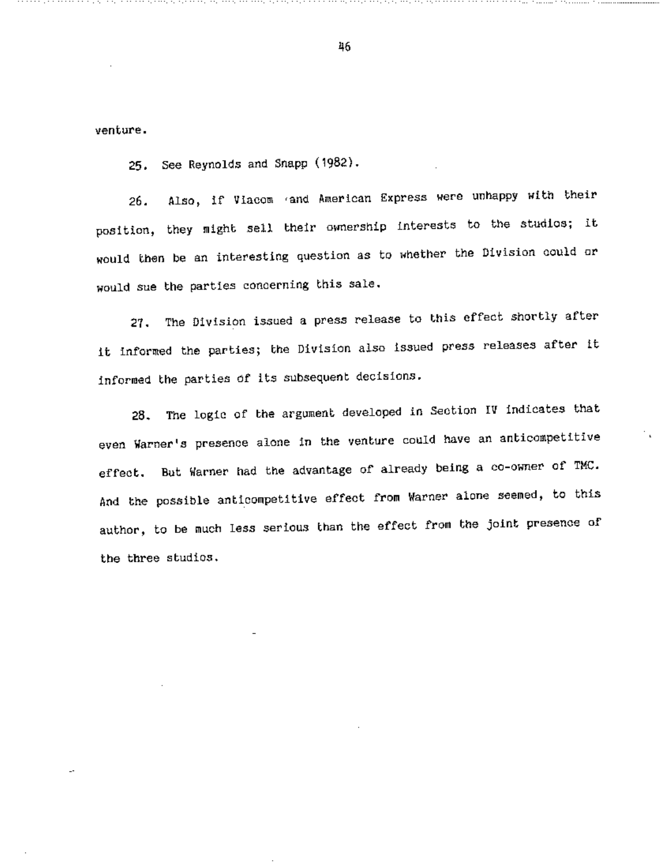venture.

25, See Reynolds and Snapp (1982).

26. Also, if Viacom and American Express were unhappy with their position, they might sell their ownership interests to the studios; it would then be an interesting question as to whether the Division could or would sue the parties concerning this sale.

27. The Division issued a press release to this effect shortly after it informed the parties; the Division also issued press releases after it informed the parties of its subsequent decisions.

28. The logic of the argument developed in Section IV indicates that even Warner's presence alone in the venture could have an anticompetitive effect. But Warner had the advantage or already being a co-owner of TMC. And the possible anticompetitive effect from Warner alone seemed, to this author, to be much less serious than the effect from the joint presence of the three studios.

46

and data sering and dan banyaran sa sa tang ang banya da banyaran sa banya nang sing atao sa banya dan banya da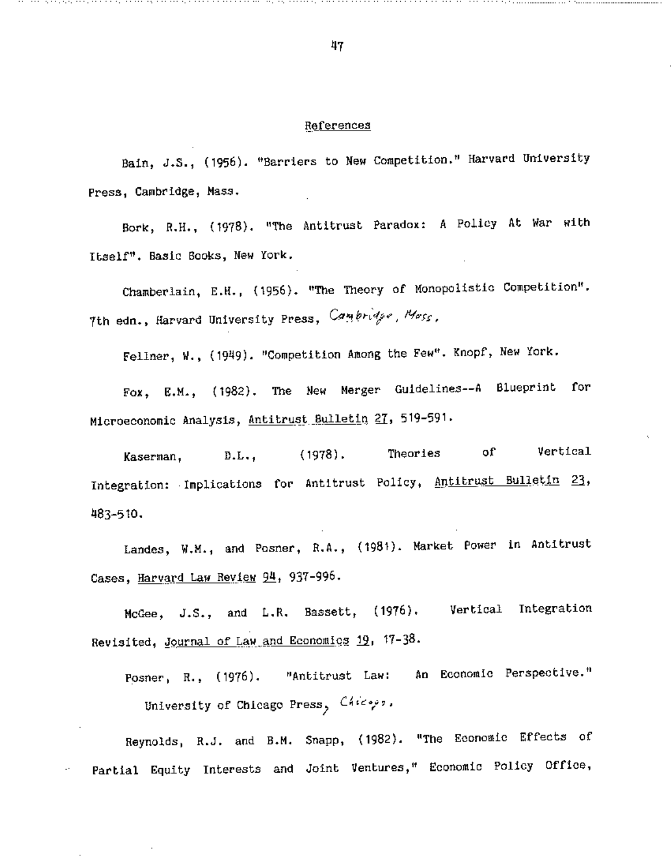## References

Bain, J.S., (1956). "Barriers to New Competition." Harvard University Press, Cambridge, Mass.

Bork, R.H., (1978). "The Antitrust Paradox: A Policy At War with Itself". Basic Books, New York.

Chamberlain, E.fl., (1956). "The Theory of Monopolistic Competition". 7th edn., Harvard University Press, Cambridge, Mass.

Fellner, W., (1949). "Competition Among the Few". Knopf, New York.

Fox, E,M., (1982). The New Merger Guidelines--A Blueprint for Microeconomic Analysis, Antitrust Bulletin 27, 519-591.

Kaserman, D.L., (1978). Theories of Vertical Integration: Implications for Antitrust Policy, Antitrust Bulletin 23, 483-510.

Landes, W.M., and Posner, R.A., (1981). Market Power in Antitrust Cases, Harvard Law Review 94, 937-996.

McGee, J.S., and L.R. Bassett, (1976). Vertical Integration Revisited, Journal of Law and Economics 19. 17-38.

Posner, R., (1976). "Antitrust Law: An Economic Perspective." University of Chicago Press,  $C$ Aiceps.

Reynolds, R.J. and B.M. Snapp, (1982). "The Economic Effects of Partial Equity Interests and Joint Ventures," Economic Policy Office,

and specific the production of the country of the contract of the country of the contract of the contract of the contract of the state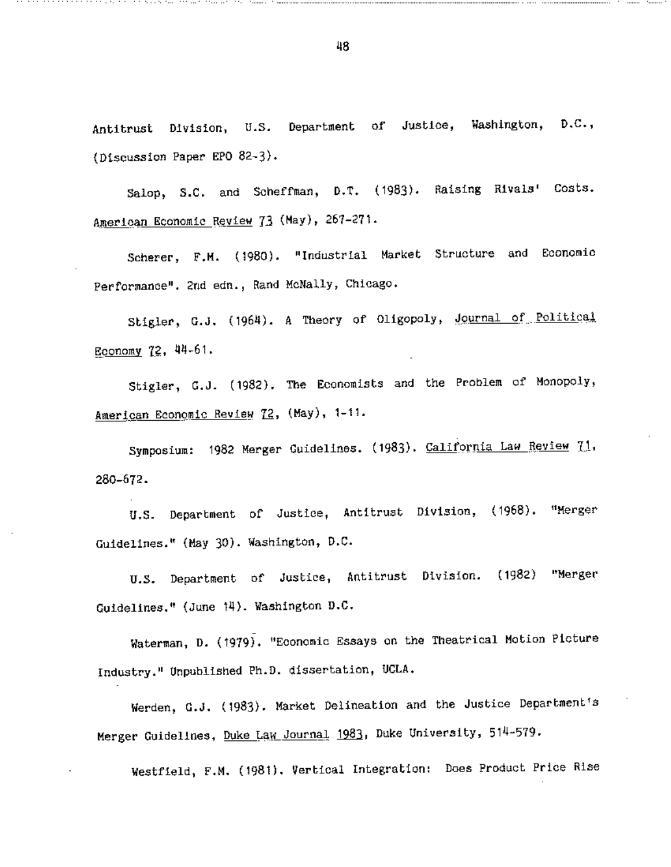Antitrust Division, U.S. Department of' Justice, Washington, D.C., {Discussion Paper EPO 82-3).

Salop, S.C. and Scheffman, D.T. (1983). Raising Rivals' Costs. American Economic Review 73 (May), 267-271.

Scherer, F.M. (1980). "Industrial Market Structure and Economic Performance". 2nd edn., Rand McMally, Chicago.

Stigler, G.J. (1964). A Theory of Oligopoly, Journal of Political Economy 72, 44-61.

Stigler, G.J. (1982). The Economists and the Problem of Monopoly, American Economic Review 72, (May), 1-11.

Symposium: 1982 Merger Guidelines. (1983). California Law Review Tl, 280-672.

U.S. Department of Justice, Antitrust Division, (1968). "Merger Guidelines." (May 30). Washington, O.C.

U.S. Department of Justice, Antitrust Dlvision. (1982) "Merger Guidelines." (June 14). Washington D.C.

Waterman, D. (1979). "Economic Essays on the Theatrical Motion Picture Industry." Unpublished Ph.D. dissertation, UCLA.

Werden, G.J. (1983). Market Delineation and the Justice Department's Merger Guidellnes, Duke Law Journal 1983, Duke University, 514-579.

Westfield, F.M. (1981). Vertical Integration: Does Product Price Rise

48

the control of the control of the con-